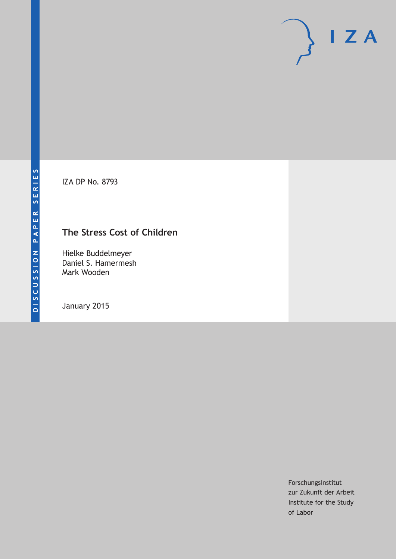IZA DP No. 8793

# **The Stress Cost of Children**

Hielke Buddelmeyer Daniel S. Hamermesh Mark Wooden

January 2015

Forschungsinstitut zur Zukunft der Arbeit Institute for the Study of Labor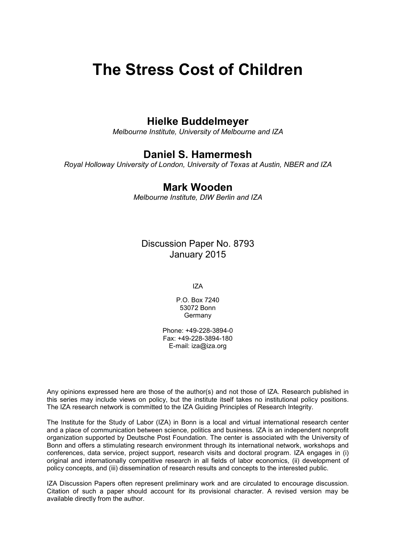# **The Stress Cost of Children**

# **Hielke Buddelmeyer**

*Melbourne Institute, University of Melbourne and IZA*

# **Daniel S. Hamermesh**

*Royal Holloway University of London, University of Texas at Austin, NBER and IZA*

## **Mark Wooden**

*Melbourne Institute, DIW Berlin and IZA*

Discussion Paper No. 8793 January 2015

IZA

P.O. Box 7240 53072 Bonn **Germany** 

Phone: +49-228-3894-0 Fax: +49-228-3894-180 E-mail: [iza@iza.org](mailto:iza@iza.org)

Any opinions expressed here are those of the author(s) and not those of IZA. Research published in this series may include views on policy, but the institute itself takes no institutional policy positions. The IZA research network is committed to the IZA Guiding Principles of Research Integrity.

The Institute for the Study of Labor (IZA) in Bonn is a local and virtual international research center and a place of communication between science, politics and business. IZA is an independent nonprofit organization supported by Deutsche Post Foundation. The center is associated with the University of Bonn and offers a stimulating research environment through its international network, workshops and conferences, data service, project support, research visits and doctoral program. IZA engages in (i) original and internationally competitive research in all fields of labor economics, (ii) development of policy concepts, and (iii) dissemination of research results and concepts to the interested public.

IZA Discussion Papers often represent preliminary work and are circulated to encourage discussion. Citation of such a paper should account for its provisional character. A revised version may be available directly from the author.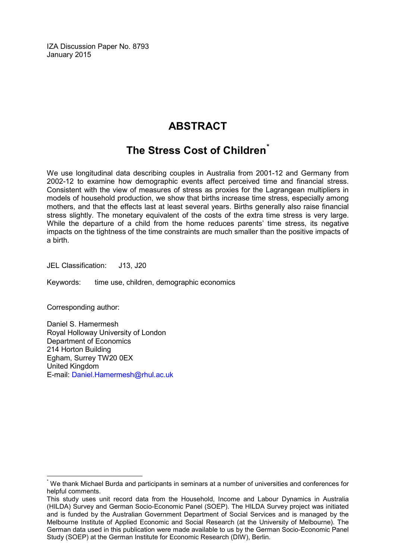IZA Discussion Paper No. 8793 January 2015

# **ABSTRACT**

# **The Stress Cost of Children[\\*](#page-2-0)**

We use longitudinal data describing couples in Australia from 2001-12 and Germany from 2002-12 to examine how demographic events affect perceived time and financial stress. Consistent with the view of measures of stress as proxies for the Lagrangean multipliers in models of household production, we show that births increase time stress, especially among mothers, and that the effects last at least several years. Births generally also raise financial stress slightly. The monetary equivalent of the costs of the extra time stress is very large. While the departure of a child from the home reduces parents' time stress, its negative impacts on the tightness of the time constraints are much smaller than the positive impacts of a birth.

JEL Classification: J13, J20

Keywords: time use, children, demographic economics

Corresponding author:

Daniel S. Hamermesh Royal Holloway University of London Department of Economics 214 Horton Building Egham, Surrey TW20 0EX United Kingdom E-mail: [Daniel.Hamermesh@rhul.ac.uk](mailto:Daniel.Hamermesh@rhul.ac.uk)

<span id="page-2-0"></span>We thank Michael Burda and participants in seminars at a number of universities and conferences for helpful comments.

This study uses unit record data from the Household, Income and Labour Dynamics in Australia (HILDA) Survey and German Socio-Economic Panel (SOEP). The HILDA Survey project was initiated and is funded by the Australian Government Department of Social Services and is managed by the Melbourne Institute of Applied Economic and Social Research (at the University of Melbourne). The German data used in this publication were made available to us by the German Socio-Economic Panel Study (SOEP) at the German Institute for Economic Research (DIW), Berlin.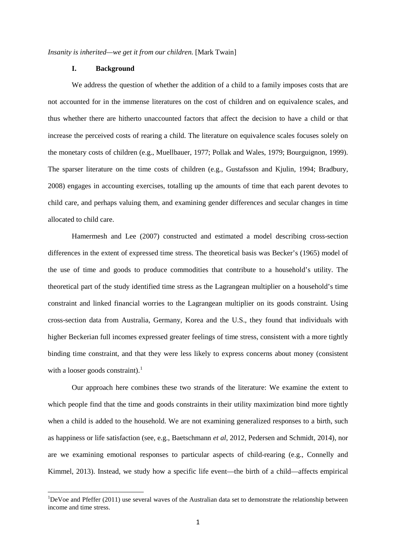*Insanity is inherited—we get it from our children.* [Mark Twain]

#### **I. Background**

We address the question of whether the addition of a child to a family imposes costs that are not accounted for in the immense literatures on the cost of children and on equivalence scales, and thus whether there are hitherto unaccounted factors that affect the decision to have a child or that increase the perceived costs of rearing a child. The literature on equivalence scales focuses solely on the monetary costs of children (e.g., Muellbauer, 1977; Pollak and Wales, 1979; Bourguignon, 1999). The sparser literature on the time costs of children (e.g., Gustafsson and Kjulin, 1994; Bradbury, 2008) engages in accounting exercises, totalling up the amounts of time that each parent devotes to child care, and perhaps valuing them, and examining gender differences and secular changes in time allocated to child care.

Hamermesh and Lee (2007) constructed and estimated a model describing cross-section differences in the extent of expressed time stress. The theoretical basis was Becker's (1965) model of the use of time and goods to produce commodities that contribute to a household's utility. The theoretical part of the study identified time stress as the Lagrangean multiplier on a household's time constraint and linked financial worries to the Lagrangean multiplier on its goods constraint. Using cross-section data from Australia, Germany, Korea and the U.S., they found that individuals with higher Beckerian full incomes expressed greater feelings of time stress, consistent with a more tightly binding time constraint, and that they were less likely to express concerns about money (consistent with a looser goods constraint).<sup>1</sup>

Our approach here combines these two strands of the literature: We examine the extent to which people find that the time and goods constraints in their utility maximization bind more tightly when a child is added to the household. We are not examining generalized responses to a birth, such as happiness or life satisfaction (see, e.g., Baetschmann *et al*, 2012, Pedersen and Schmidt, 2014), nor are we examining emotional responses to particular aspects of child-rearing (e.g., Connelly and Kimmel, 2013). Instead, we study how a specific life event—the birth of a child—affects empirical

<span id="page-3-0"></span> $\frac{1}{1}$  $\rm^{1}$ DeVoe and Pfeffer (2011) use several waves of the Australian data set to demonstrate the relationship between income and time stress.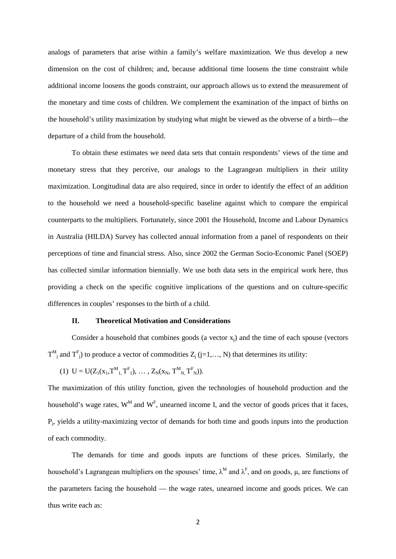analogs of parameters that arise within a family's welfare maximization. We thus develop a new dimension on the cost of children; and, because additional time loosens the time constraint while additional income loosens the goods constraint, our approach allows us to extend the measurement of the monetary and time costs of children. We complement the examination of the impact of births on the household's utility maximization by studying what might be viewed as the obverse of a birth—the departure of a child from the household.

To obtain these estimates we need data sets that contain respondents' views of the time and monetary stress that they perceive, our analogs to the Lagrangean multipliers in their utility maximization. Longitudinal data are also required, since in order to identify the effect of an addition to the household we need a household-specific baseline against which to compare the empirical counterparts to the multipliers. Fortunately, since 2001 the Household, Income and Labour Dynamics in Australia (HILDA) Survey has collected annual information from a panel of respondents on their perceptions of time and financial stress. Also, since 2002 the German Socio-Economic Panel (SOEP) has collected similar information biennially. We use both data sets in the empirical work here, thus providing a check on the specific cognitive implications of the questions and on culture-specific differences in couples' responses to the birth of a child.

#### **II. Theoretical Motivation and Considerations**

Consider a household that combines goods (a vector  $x_i$ ) and the time of each spouse (vectors  $T_{j}^{M}$  and  $T_{j}^{F}$ ) to produce a vector of commodities  $Z_{j}$  (j=1,..., N) that determines its utility:

(1) 
$$
U = U(Z_1(x_1, T_{-1}^M, T_{-1}^F), \dots, Z_N(x_N, T_{-N}^M, T_{-N}^F)).
$$

The maximization of this utility function, given the technologies of household production and the household's wage rates,  $W^M$  and  $W^F$ , unearned income I, and the vector of goods prices that it faces,  $P_i$ , yields a utility-maximizing vector of demands for both time and goods inputs into the production of each commodity.

The demands for time and goods inputs are functions of these prices. Similarly, the household's Lagrangean multipliers on the spouses' time,  $\lambda^M$  and  $\lambda^F$ , and on goods,  $\mu$ , are functions of the parameters facing the household — the wage rates, unearned income and goods prices. We can thus write each as: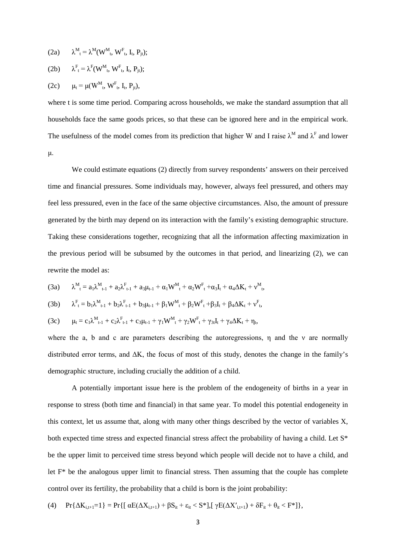(2a) 
$$
\lambda_{t}^{M} = \lambda_{t}^{M} (W_{t}^{M}, W_{t}^{F}, I_{t}, P_{jt});
$$

$$
(2b) \qquad \lambda^F_t = \lambda^F(W^M_t, W^F_t, I_t, P_{jt});
$$

(2c) 
$$
\mu_t = \mu(W^M_t, W^F_t, I_t, P_{jt}),
$$

where t is some time period. Comparing across households, we make the standard assumption that all households face the same goods prices, so that these can be ignored here and in the empirical work. The usefulness of the model comes from its prediction that higher W and I raise  $\lambda^M$  and  $\lambda^F$  and lower μ.

We could estimate equations (2) directly from survey respondents' answers on their perceived time and financial pressures. Some individuals may, however, always feel pressured, and others may feel less pressured, even in the face of the same objective circumstances. Also, the amount of pressure generated by the birth may depend on its interaction with the family's existing demographic structure. Taking these considerations together, recognizing that all the information affecting maximization in the previous period will be subsumed by the outcomes in that period, and linearizing (2), we can rewrite the model as:

$$
(3a) \qquad \lambda^M_{\ \ t} = a_1 \lambda^M_{\ \ t-1} + a_2 \lambda^F_{\ \ t-1} + a_3 \mu_{t-1} + \alpha_1 W^M_{\ \ t} + \alpha_2 W^F_{\ \ t} + \alpha_3 I_t + \alpha_4 \Delta K_t + \nu^M_{\ \ t},
$$

(3b) 
$$
\lambda_{t}^{F} = b_{1} \lambda_{t}^{M} + b_{2} \lambda_{t}^{F} + b_{3} \mu_{t-1} + \beta_{1} W_{t}^{M} + \beta_{2} W_{t}^{F} + \beta_{3} I_{t} + \beta_{4} \Delta K_{t} + \nu_{t}^{F},
$$

$$
(3c)\qquad \mu_t = c_1 \lambda^M_{t-1} + c_2 \lambda^F_{t-1} + c_3 \mu_{t-1} + \gamma_1 W^M_{t} + \gamma_2 W^F_{t} + \gamma_{3t} I_t + \gamma_4 \Delta K_t + \eta_t,
$$

where the a, b and c are parameters describing the autoregressions, η and the ν are normally distributed error terms, and ΔK, the focus of most of this study, denotes the change in the family's demographic structure, including crucially the addition of a child.

A potentially important issue here is the problem of the endogeneity of births in a year in response to stress (both time and financial) in that same year. To model this potential endogeneity in this context, let us assume that, along with many other things described by the vector of variables X, both expected time stress and expected financial stress affect the probability of having a child. Let  $S^*$ be the upper limit to perceived time stress beyond which people will decide not to have a child, and let F\* be the analogous upper limit to financial stress. Then assuming that the couple has complete control over its fertility, the probability that a child is born is the joint probability:

$$
(4) \hspace{0.5cm} Pr\{\Delta K_{i,t+1}{=}1\}=Pr\{\textcolor{black}{[}\alpha E(\Delta X_{i,t+1})+\beta S_{it}+\epsilon_{it}
$$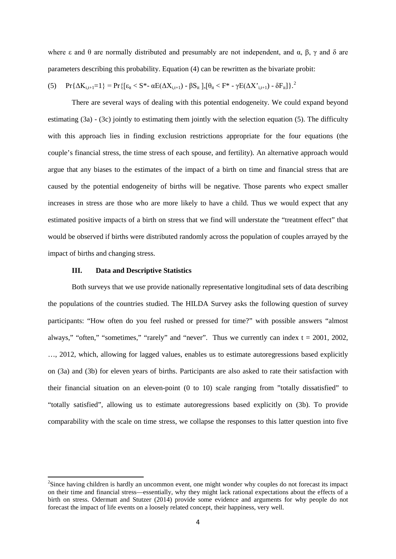where  $\varepsilon$  and  $\theta$  are normally distributed and presumably are not independent, and  $\alpha$ ,  $\beta$ ,  $\gamma$  and  $\delta$  are parameters describing this probability. Equation (4) can be rewritten as the bivariate probit:

$$
(5) \hspace{0.5cm} Pr\{\Delta K_{i,t+1}=1\}=Pr\{[\epsilon_{it}
$$

There are several ways of dealing with this potential endogeneity. We could expand beyond estimating  $(3a) - (3c)$  jointly to estimating them jointly with the selection equation (5). The difficulty with this approach lies in finding exclusion restrictions appropriate for the four equations (the couple's financial stress, the time stress of each spouse, and fertility). An alternative approach would argue that any biases to the estimates of the impact of a birth on time and financial stress that are caused by the potential endogeneity of births will be negative. Those parents who expect smaller increases in stress are those who are more likely to have a child. Thus we would expect that any estimated positive impacts of a birth on stress that we find will understate the "treatment effect" that would be observed if births were distributed randomly across the population of couples arrayed by the impact of births and changing stress.

#### **III. Data and Descriptive Statistics**

<span id="page-6-0"></span>Both surveys that we use provide nationally representative longitudinal sets of data describing the populations of the countries studied. The HILDA Survey asks the following question of survey participants: "How often do you feel rushed or pressed for time?" with possible answers "almost always," "often," "sometimes," "rarely" and "never". Thus we currently can index  $t = 2001, 2002,$ …, 2012, which, allowing for lagged values, enables us to estimate autoregressions based explicitly on (3a) and (3b) for eleven years of births. Participants are also asked to rate their satisfaction with their financial situation on an eleven-point (0 to 10) scale ranging from "totally dissatisfied" to "totally satisfied", allowing us to estimate autoregressions based explicitly on (3b). To provide comparability with the scale on time stress, we collapse the responses to this latter question into five

 $\frac{1}{2}$ <sup>2</sup>Since having children is hardly an uncommon event, one might wonder why couples do not forecast its impact on their time and financial stress—essentially, why they might lack rational expectations about the effects of a birth on stress. Odermatt and Stutzer (2014) provide some evidence and arguments for why people do not forecast the impact of life events on a loosely related concept, their happiness, very well.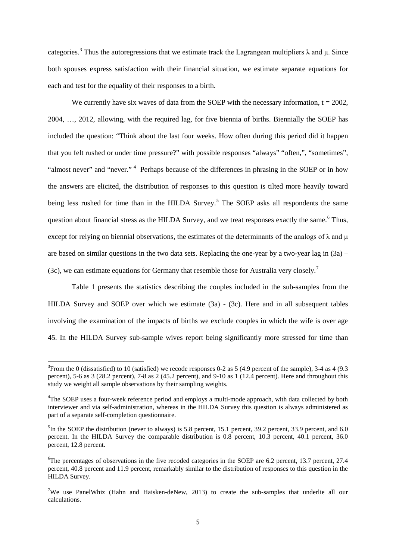categories.<sup>[3](#page-6-0)</sup> Thus the autoregressions that we estimate track the Lagrangean multipliers  $\lambda$  and  $\mu$ . Since both spouses express satisfaction with their financial situation, we estimate separate equations for each and test for the equality of their responses to a birth.

We currently have six waves of data from the SOEP with the necessary information,  $t = 2002$ , 2004, …, 2012, allowing, with the required lag, for five biennia of births. Biennially the SOEP has included the question: "Think about the last four weeks. How often during this period did it happen that you felt rushed or under time pressure?" with possible responses "always" "often,", "sometimes", "almost never" and "never."<sup>[4](#page-7-0)</sup> Perhaps because of the differences in phrasing in the SOEP or in how the answers are elicited, the distribution of responses to this question is tilted more heavily toward being less rushed for time than in the HILDA Survey.<sup>[5](#page-7-1)</sup> The SOEP asks all respondents the same question about financial stress as the HILDA Survey, and we treat responses exactly the same.<sup>[6](#page-7-2)</sup> Thus, except for relying on biennial observations, the estimates of the determinants of the analogs of  $\lambda$  and  $\mu$ are based on similar questions in the two data sets. Replacing the one-year by a two-year lag in  $(3a)$  – (3c), we can estimate equations for Germany that resemble those for Australia very closely.<sup>[7](#page-7-3)</sup>

Table 1 presents the statistics describing the couples included in the sub-samples from the HILDA Survey and SOEP over which we estimate (3a) - (3c). Here and in all subsequent tables involving the examination of the impacts of births we exclude couples in which the wife is over age 45. In the HILDA Survey sub-sample wives report being significantly more stressed for time than

<sup>-&</sup>lt;br>3  $3$ From the 0 (dissatisfied) to 10 (satisfied) we recode responses 0-2 as 5 (4.9 percent of the sample), 3-4 as 4 (9.3) percent), 5-6 as 3 (28.2 percent), 7-8 as 2 (45.2 percent), and 9-10 as 1 (12.4 percent). Here and throughout this study we weight all sample observations by their sampling weights.

<span id="page-7-0"></span><sup>&</sup>lt;sup>4</sup>The SOEP uses a four-week reference period and employs a multi-mode approach, with data collected by both interviewer and via self-administration, whereas in the HILDA Survey this question is always administered as part of a separate self-completion questionnaire.

<span id="page-7-4"></span><span id="page-7-1"></span><sup>&</sup>lt;sup>5</sup>In the SOEP the distribution (never to always) is 5.8 percent, 15.1 percent, 39.2 percent, 33.9 percent, and 6.0 percent. In the HILDA Survey the comparable distribution is 0.8 percent, 10.3 percent, 40.1 percent, 36.0 percent, 12.8 percent.

<span id="page-7-2"></span><sup>&</sup>lt;sup>6</sup>The percentages of observations in the five recoded categories in the SOEP are 6.2 percent, 13.7 percent, 27.4 percent, 40.8 percent and 11.9 percent, remarkably similar to the distribution of responses to this question in the HILDA Survey.

<span id="page-7-3"></span><sup>&</sup>lt;sup>7</sup>We use PanelWhiz (Hahn and Haisken-deNew, 2013) to create the sub-samples that underlie all our calculations.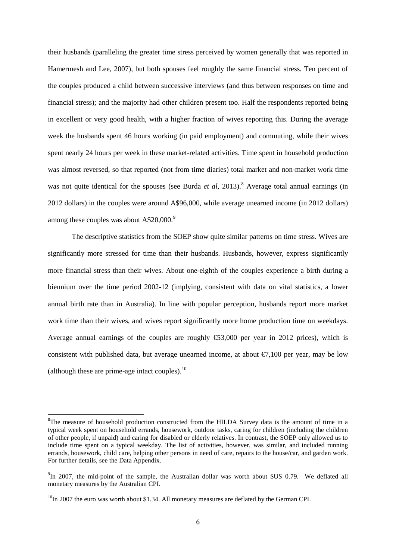their husbands (paralleling the greater time stress perceived by women generally that was reported in Hamermesh and Lee, 2007), but both spouses feel roughly the same financial stress. Ten percent of the couples produced a child between successive interviews (and thus between responses on time and financial stress); and the majority had other children present too. Half the respondents reported being in excellent or very good health, with a higher fraction of wives reporting this. During the average week the husbands spent 46 hours working (in paid employment) and commuting, while their wives spent nearly 24 hours per week in these market-related activities. Time spent in household production was almost reversed, so that reported (not from time diaries) total market and non-market work time was not quite identical for the spouses (see Burda *et al.* 2013).<sup>[8](#page-7-4)</sup> Average total annual earnings (in 2012 dollars) in the couples were around A\$96,000, while average unearned income (in 2012 dollars) among these couples was about A\$20,000.<sup>[9](#page-8-0)</sup>

The descriptive statistics from the SOEP show quite similar patterns on time stress. Wives are significantly more stressed for time than their husbands. Husbands, however, express significantly more financial stress than their wives. About one-eighth of the couples experience a birth during a biennium over the time period 2002-12 (implying, consistent with data on vital statistics, a lower annual birth rate than in Australia). In line with popular perception, husbands report more market work time than their wives, and wives report significantly more home production time on weekdays. Average annual earnings of the couples are roughly  $\epsilon$ 53,000 per year in 2012 prices), which is consistent with published data, but average unearned income, at about  $\epsilon$ 7,100 per year, may be low (although these are prime-age intact couples).  $10$ 

<sup>-&</sup>lt;br>8 <sup>8</sup>The measure of household production constructed from the HILDA Survey data is the amount of time in a typical week spent on household errands, housework, outdoor tasks, caring for children (including the children of other people, if unpaid) and caring for disabled or elderly relatives. In contrast, the SOEP only allowed us to include time spent on a typical weekday. The list of activities, however, was similar, and included running errands, housework, child care, helping other persons in need of care, repairs to the house/car, and garden work. For further details, see the Data Appendix.

<span id="page-8-0"></span> $9$ In 2007, the mid-point of the sample, the Australian dollar was worth about \$US 0.79. We deflated all monetary measures by the Australian CPI.

<span id="page-8-2"></span><span id="page-8-1"></span> $^{10}$ In 2007 the euro was worth about \$1.34. All monetary measures are deflated by the German CPI.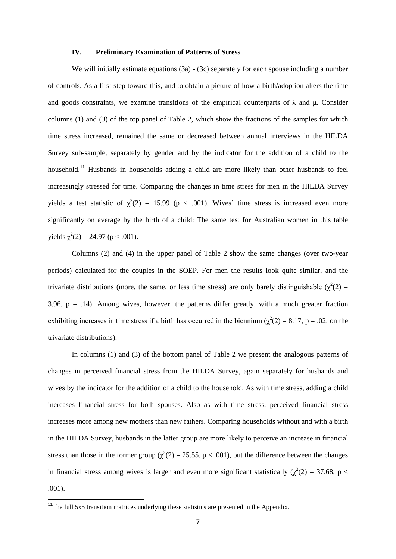#### **IV. Preliminary Examination of Patterns of Stress**

We will initially estimate equations (3a) - (3c) separately for each spouse including a number of controls. As a first step toward this, and to obtain a picture of how a birth/adoption alters the time and goods constraints, we examine transitions of the empirical counterparts of  $\lambda$  and  $\mu$ . Consider columns (1) and (3) of the top panel of Table 2, which show the fractions of the samples for which time stress increased, remained the same or decreased between annual interviews in the HILDA Survey sub-sample, separately by gender and by the indicator for the addition of a child to the household.<sup>[11](#page-8-2)</sup> Husbands in households adding a child are more likely than other husbands to feel increasingly stressed for time. Comparing the changes in time stress for men in the HILDA Survey yields a test statistic of  $\chi^2(2) = 15.99$  (p < .001). Wives' time stress is increased even more significantly on average by the birth of a child: The same test for Australian women in this table yields  $\chi^2(2) = 24.97$  (p < .001).

Columns (2) and (4) in the upper panel of Table 2 show the same changes (over two-year periods) calculated for the couples in the SOEP. For men the results look quite similar, and the trivariate distributions (more, the same, or less time stress) are only barely distinguishable  $(\chi^2(2) =$ 3.96,  $p = .14$ ). Among wives, however, the patterns differ greatly, with a much greater fraction exhibiting increases in time stress if a birth has occurred in the biennium ( $\chi^2(2) = 8.17$ , p = .02, on the trivariate distributions).

In columns (1) and (3) of the bottom panel of Table 2 we present the analogous patterns of changes in perceived financial stress from the HILDA Survey, again separately for husbands and wives by the indicator for the addition of a child to the household. As with time stress, adding a child increases financial stress for both spouses. Also as with time stress, perceived financial stress increases more among new mothers than new fathers. Comparing households without and with a birth in the HILDA Survey, husbands in the latter group are more likely to perceive an increase in financial stress than those in the former group ( $\chi^2(2) = 25.55$ , p < .001), but the difference between the changes in financial stress among wives is larger and even more significant statistically ( $\chi^2(2) = 37.68$ , p < .001).

<span id="page-9-0"></span> $11$ <sup>The full 5x5</sup> transition matrices underlying these statistics are presented in the Appendix.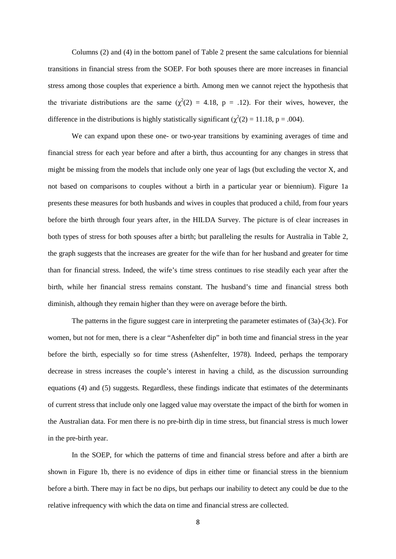Columns (2) and (4) in the bottom panel of Table 2 present the same calculations for biennial transitions in financial stress from the SOEP. For both spouses there are more increases in financial stress among those couples that experience a birth. Among men we cannot reject the hypothesis that the trivariate distributions are the same ( $\chi^2(2) = 4.18$ , p = .12). For their wives, however, the difference in the distributions is highly statistically significant ( $\chi^2(2) = 11.18$ , p = .004).

We can expand upon these one- or two-year transitions by examining averages of time and financial stress for each year before and after a birth, thus accounting for any changes in stress that might be missing from the models that include only one year of lags (but excluding the vector X, and not based on comparisons to couples without a birth in a particular year or biennium). Figure 1a presents these measures for both husbands and wives in couples that produced a child, from four years before the birth through four years after, in the HILDA Survey. The picture is of clear increases in both types of stress for both spouses after a birth; but paralleling the results for Australia in Table 2, the graph suggests that the increases are greater for the wife than for her husband and greater for time than for financial stress. Indeed, the wife's time stress continues to rise steadily each year after the birth, while her financial stress remains constant. The husband's time and financial stress both diminish, although they remain higher than they were on average before the birth.

The patterns in the figure suggest care in interpreting the parameter estimates of (3a)-(3c). For women, but not for men, there is a clear "Ashenfelter dip" in both time and financial stress in the year before the birth, especially so for time stress (Ashenfelter, 1978). Indeed, perhaps the temporary decrease in stress increases the couple's interest in having a child, as the discussion surrounding equations (4) and (5) suggests. Regardless, these findings indicate that estimates of the determinants of current stress that include only one lagged value may overstate the impact of the birth for women in the Australian data. For men there is no pre-birth dip in time stress, but financial stress is much lower in the pre-birth year.

In the SOEP, for which the patterns of time and financial stress before and after a birth are shown in Figure 1b, there is no evidence of dips in either time or financial stress in the biennium before a birth. There may in fact be no dips, but perhaps our inability to detect any could be due to the relative infrequency with which the data on time and financial stress are collected.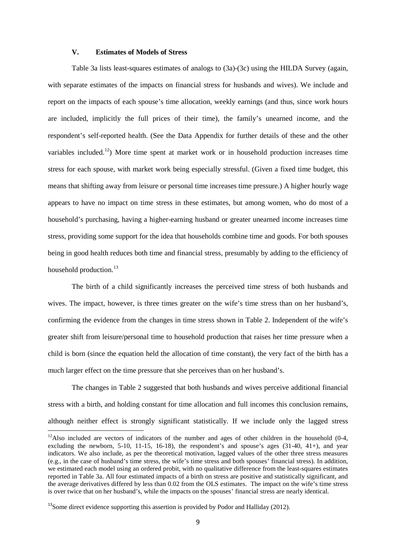#### **V. Estimates of Models of Stress**

Table 3a lists least-squares estimates of analogs to (3a)-(3c) using the HILDA Survey (again, with separate estimates of the impacts on financial stress for husbands and wives). We include and report on the impacts of each spouse's time allocation, weekly earnings (and thus, since work hours are included, implicitly the full prices of their time), the family's unearned income, and the respondent's self-reported health. (See the Data Appendix for further details of these and the other variables included.<sup>12</sup>) More time spent at market work or in household production increases time stress for each spouse, with market work being especially stressful. (Given a fixed time budget, this means that shifting away from leisure or personal time increases time pressure.) A higher hourly wage appears to have no impact on time stress in these estimates, but among women, who do most of a household's purchasing, having a higher-earning husband or greater unearned income increases time stress, providing some support for the idea that households combine time and goods. For both spouses being in good health reduces both time and financial stress, presumably by adding to the efficiency of household production.<sup>[13](#page-11-0)</sup>

The birth of a child significantly increases the perceived time stress of both husbands and wives. The impact, however, is three times greater on the wife's time stress than on her husband's, confirming the evidence from the changes in time stress shown in Table 2. Independent of the wife's greater shift from leisure/personal time to household production that raises her time pressure when a child is born (since the equation held the allocation of time constant), the very fact of the birth has a much larger effect on the time pressure that she perceives than on her husband's.

The changes in Table 2 suggested that both husbands and wives perceive additional financial stress with a birth, and holding constant for time allocation and full incomes this conclusion remains, although neither effect is strongly significant statistically. If we include only the lagged stress

 $12$ Also included are vectors of indicators of the number and ages of other children in the household (0-4, excluding the newborn,  $5-10$ ,  $11-15$ ,  $16-18$ ), the respondent's and spouse's ages  $(31-40, 41+)$ , and year indicators. We also include, as per the theoretical motivation, lagged values of the other three stress measures (e.g., in the case of husband's time stress, the wife's time stress and both spouses' financial stress). In addition, we estimated each model using an ordered probit, with no qualitative difference from the least-squares estimates reported in Table 3a. All four estimated impacts of a birth on stress are positive and statistically significant, and the average derivatives differed by less than 0.02 from the OLS estimates. The impact on the wife's time stress is over twice that on her husband's, while the impacts on the spouses' financial stress are nearly identical.

<span id="page-11-1"></span><span id="page-11-0"></span><sup>&</sup>lt;sup>13</sup>Some direct evidence supporting this assertion is provided by Podor and Halliday (2012).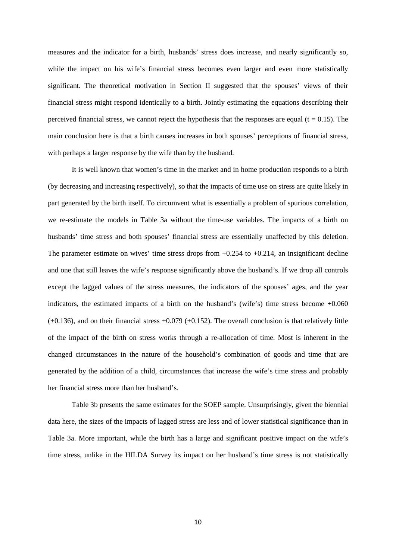measures and the indicator for a birth, husbands' stress does increase, and nearly significantly so, while the impact on his wife's financial stress becomes even larger and even more statistically significant. The theoretical motivation in Section II suggested that the spouses' views of their financial stress might respond identically to a birth. Jointly estimating the equations describing their perceived financial stress, we cannot reject the hypothesis that the responses are equal ( $t = 0.15$ ). The main conclusion here is that a birth causes increases in both spouses' perceptions of financial stress, with perhaps a larger response by the wife than by the husband.

It is well known that women's time in the market and in home production responds to a birth (by decreasing and increasing respectively), so that the impacts of time use on stress are quite likely in part generated by the birth itself. To circumvent what is essentially a problem of spurious correlation, we re-estimate the models in Table 3a without the time-use variables. The impacts of a birth on husbands' time stress and both spouses' financial stress are essentially unaffected by this deletion. The parameter estimate on wives' time stress drops from  $+0.254$  to  $+0.214$ , an insignificant decline and one that still leaves the wife's response significantly above the husband's. If we drop all controls except the lagged values of the stress measures, the indicators of the spouses' ages, and the year indicators, the estimated impacts of a birth on the husband's (wife's) time stress become +0.060  $(+0.136)$ , and on their financial stress  $+0.079 (+0.152)$ . The overall conclusion is that relatively little of the impact of the birth on stress works through a re-allocation of time. Most is inherent in the changed circumstances in the nature of the household's combination of goods and time that are generated by the addition of a child, circumstances that increase the wife's time stress and probably her financial stress more than her husband's.

Table 3b presents the same estimates for the SOEP sample. Unsurprisingly, given the biennial data here, the sizes of the impacts of lagged stress are less and of lower statistical significance than in Table 3a. More important, while the birth has a large and significant positive impact on the wife's time stress, unlike in the HILDA Survey its impact on her husband's time stress is not statistically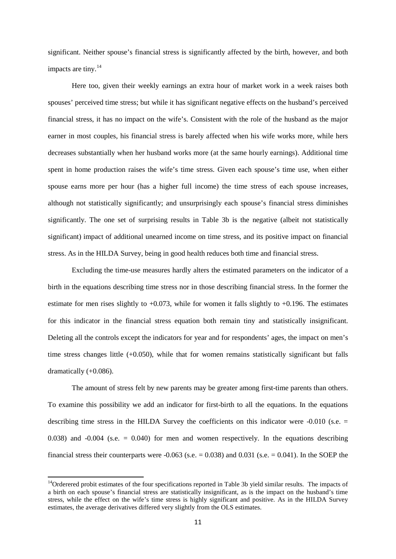significant. Neither spouse's financial stress is significantly affected by the birth, however, and both impacts are tiny. $14$ 

Here too, given their weekly earnings an extra hour of market work in a week raises both spouses' perceived time stress; but while it has significant negative effects on the husband's perceived financial stress, it has no impact on the wife's. Consistent with the role of the husband as the major earner in most couples, his financial stress is barely affected when his wife works more, while hers decreases substantially when her husband works more (at the same hourly earnings). Additional time spent in home production raises the wife's time stress. Given each spouse's time use, when either spouse earns more per hour (has a higher full income) the time stress of each spouse increases, although not statistically significantly; and unsurprisingly each spouse's financial stress diminishes significantly. The one set of surprising results in Table 3b is the negative (albeit not statistically significant) impact of additional unearned income on time stress, and its positive impact on financial stress. As in the HILDA Survey, being in good health reduces both time and financial stress.

Excluding the time-use measures hardly alters the estimated parameters on the indicator of a birth in the equations describing time stress nor in those describing financial stress. In the former the estimate for men rises slightly to  $+0.073$ , while for women it falls slightly to  $+0.196$ . The estimates for this indicator in the financial stress equation both remain tiny and statistically insignificant. Deleting all the controls except the indicators for year and for respondents' ages, the impact on men's time stress changes little  $(+0.050)$ , while that for women remains statistically significant but falls dramatically (+0.086).

The amount of stress felt by new parents may be greater among first-time parents than others. To examine this possibility we add an indicator for first-birth to all the equations. In the equations describing time stress in the HILDA Survey the coefficients on this indicator were  $-0.010$  (s.e.  $=$ 0.038) and  $-0.004$  (s.e.  $= 0.040$ ) for men and women respectively. In the equations describing financial stress their counterparts were  $-0.063$  (s.e.  $= 0.038$ ) and 0.031 (s.e.  $= 0.041$ ). In the SOEP the

<span id="page-13-0"></span> $14$ Orderered probit estimates of the four specifications reported in Table 3b yield similar results. The impacts of a birth on each spouse's financial stress are statistically insignificant, as is the impact on the husband's time stress, while the effect on the wife's time stress is highly significant and positive. As in the HILDA Survey estimates, the average derivatives differed very slightly from the OLS estimates.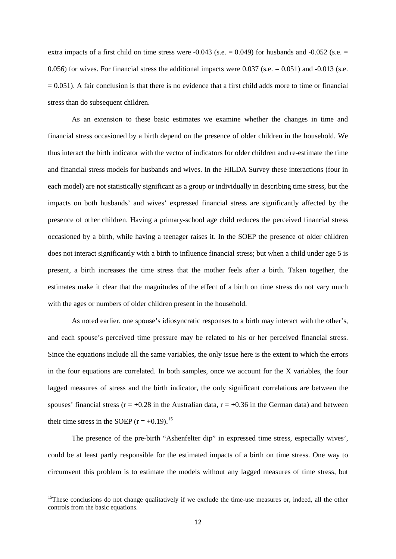extra impacts of a first child on time stress were  $-0.043$  (s.e.  $= 0.049$ ) for husbands and  $-0.052$  (s.e.  $=$ 0.056) for wives. For financial stress the additional impacts were  $0.037$  (s.e.  $= 0.051$ ) and  $-0.013$  (s.e.  $= 0.051$ ). A fair conclusion is that there is no evidence that a first child adds more to time or financial stress than do subsequent children.

As an extension to these basic estimates we examine whether the changes in time and financial stress occasioned by a birth depend on the presence of older children in the household. We thus interact the birth indicator with the vector of indicators for older children and re-estimate the time and financial stress models for husbands and wives. In the HILDA Survey these interactions (four in each model) are not statistically significant as a group or individually in describing time stress, but the impacts on both husbands' and wives' expressed financial stress are significantly affected by the presence of other children. Having a primary-school age child reduces the perceived financial stress occasioned by a birth, while having a teenager raises it. In the SOEP the presence of older children does not interact significantly with a birth to influence financial stress; but when a child under age 5 is present, a birth increases the time stress that the mother feels after a birth. Taken together, the estimates make it clear that the magnitudes of the effect of a birth on time stress do not vary much with the ages or numbers of older children present in the household.

As noted earlier, one spouse's idiosyncratic responses to a birth may interact with the other's, and each spouse's perceived time pressure may be related to his or her perceived financial stress. Since the equations include all the same variables, the only issue here is the extent to which the errors in the four equations are correlated. In both samples, once we account for the X variables, the four lagged measures of stress and the birth indicator, the only significant correlations are between the spouses' financial stress ( $r = +0.28$  in the Australian data,  $r = +0.36$  in the German data) and between their time stress in the SOEP  $(r = +0.19)^{15}$  $(r = +0.19)^{15}$  $(r = +0.19)^{15}$ 

<span id="page-14-0"></span>The presence of the pre-birth "Ashenfelter dip" in expressed time stress, especially wives', could be at least partly responsible for the estimated impacts of a birth on time stress. One way to circumvent this problem is to estimate the models without any lagged measures of time stress, but

<sup>&</sup>lt;sup>15</sup>These conclusions do not change qualitatively if we exclude the time-use measures or, indeed, all the other controls from the basic equations.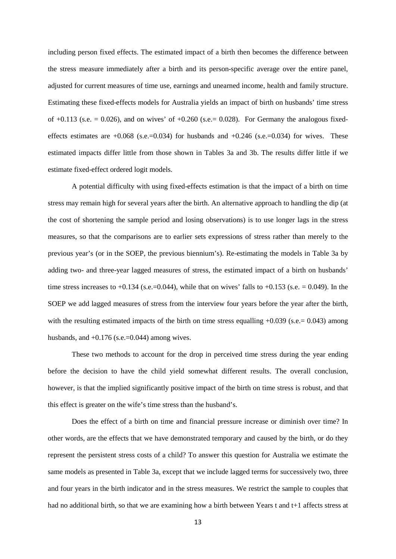including person fixed effects. The estimated impact of a birth then becomes the difference between the stress measure immediately after a birth and its person-specific average over the entire panel, adjusted for current measures of time use, earnings and unearned income, health and family structure. Estimating these fixed-effects models for Australia yields an impact of birth on husbands' time stress of  $+0.113$  (s.e.  $= 0.026$ ), and on wives' of  $+0.260$  (s.e.  $= 0.028$ ). For Germany the analogous fixedeffects estimates are  $+0.068$  (s.e.=0.034) for husbands and  $+0.246$  (s.e.=0.034) for wives. These estimated impacts differ little from those shown in Tables 3a and 3b. The results differ little if we estimate fixed-effect ordered logit models.

A potential difficulty with using fixed-effects estimation is that the impact of a birth on time stress may remain high for several years after the birth. An alternative approach to handling the dip (at the cost of shortening the sample period and losing observations) is to use longer lags in the stress measures, so that the comparisons are to earlier sets expressions of stress rather than merely to the previous year's (or in the SOEP, the previous biennium's). Re-estimating the models in Table 3a by adding two- and three-year lagged measures of stress, the estimated impact of a birth on husbands' time stress increases to  $+0.134$  (s.e.=0.044), while that on wives' falls to  $+0.153$  (s.e. = 0.049). In the SOEP we add lagged measures of stress from the interview four years before the year after the birth, with the resulting estimated impacts of the birth on time stress equalling +0.039 (s.e.= 0.043) among husbands, and  $+0.176$  (s.e.=0.044) among wives.

These two methods to account for the drop in perceived time stress during the year ending before the decision to have the child yield somewhat different results. The overall conclusion, however, is that the implied significantly positive impact of the birth on time stress is robust, and that this effect is greater on the wife's time stress than the husband's.

Does the effect of a birth on time and financial pressure increase or diminish over time? In other words, are the effects that we have demonstrated temporary and caused by the birth, or do they represent the persistent stress costs of a child? To answer this question for Australia we estimate the same models as presented in Table 3a, except that we include lagged terms for successively two, three and four years in the birth indicator and in the stress measures. We restrict the sample to couples that had no additional birth, so that we are examining how a birth between Years t and t+1 affects stress at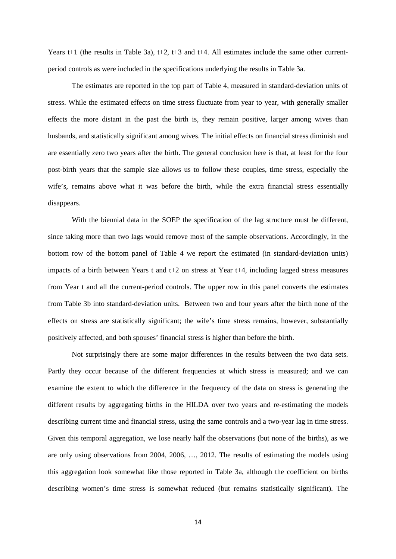Years t+1 (the results in Table 3a), t+2, t+3 and t+4. All estimates include the same other currentperiod controls as were included in the specifications underlying the results in Table 3a.

The estimates are reported in the top part of Table 4, measured in standard-deviation units of stress. While the estimated effects on time stress fluctuate from year to year, with generally smaller effects the more distant in the past the birth is, they remain positive, larger among wives than husbands, and statistically significant among wives. The initial effects on financial stress diminish and are essentially zero two years after the birth. The general conclusion here is that, at least for the four post-birth years that the sample size allows us to follow these couples, time stress, especially the wife's, remains above what it was before the birth, while the extra financial stress essentially disappears.

With the biennial data in the SOEP the specification of the lag structure must be different, since taking more than two lags would remove most of the sample observations. Accordingly, in the bottom row of the bottom panel of Table 4 we report the estimated (in standard-deviation units) impacts of a birth between Years t and t+2 on stress at Year t+4, including lagged stress measures from Year t and all the current-period controls. The upper row in this panel converts the estimates from Table 3b into standard-deviation units. Between two and four years after the birth none of the effects on stress are statistically significant; the wife's time stress remains, however, substantially positively affected, and both spouses' financial stress is higher than before the birth.

Not surprisingly there are some major differences in the results between the two data sets. Partly they occur because of the different frequencies at which stress is measured; and we can examine the extent to which the difference in the frequency of the data on stress is generating the different results by aggregating births in the HILDA over two years and re-estimating the models describing current time and financial stress, using the same controls and a two-year lag in time stress. Given this temporal aggregation, we lose nearly half the observations (but none of the births), as we are only using observations from 2004, 2006, …, 2012. The results of estimating the models using this aggregation look somewhat like those reported in Table 3a, although the coefficient on births describing women's time stress is somewhat reduced (but remains statistically significant). The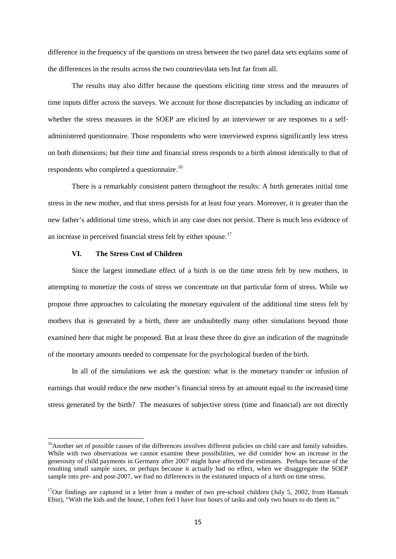difference in the frequency of the questions on stress between the two panel data sets explains some of the differences in the results across the two countries/data sets but far from all.

The results may also differ because the questions eliciting time stress and the measures of time inputs differ across the surveys. We account for those discrepancies by including an indicator of whether the stress measures in the SOEP are elicited by an interviewer or are responses to a selfadministered questionnaire. Those respondents who were interviewed express significantly less stress on both dimensions; but their time and financial stress responds to a birth almost identically to that of respondents who completed a questionnaire.<sup>[16](#page-14-0)</sup>

There is a remarkably consistent pattern throughout the results: A birth generates initial time stress in the new mother, and that stress persists for at least four years. Moreover, it is greater than the new father's additional time stress, which in any case does not persist. There is much less evidence of an increase in perceived financial stress felt by either spouse.<sup>[17](#page-17-0)</sup>

#### **VI. The Stress Cost of Children**

Since the largest immediate effect of a birth is on the time stress felt by new mothers, in attempting to monetize the costs of stress we concentrate on that particular form of stress. While we propose three approaches to calculating the monetary equivalent of the additional time stress felt by mothers that is generated by a birth, there are undoubtedly many other simulations beyond those examined here that might be proposed. But at least these three do give an indication of the magnitude of the monetary amounts needed to compensate for the psychological burden of the birth.

In all of the simulations we ask the question: what is the monetary transfer or infusion of earnings that would reduce the new mother's financial stress by an amount equal to the increased time stress generated by the birth? The measures of subjective stress (time and financial) are not directly

<sup>&</sup>lt;sup>16</sup>Another set of possible causes of the differences involves different policies on child care and family subsidies. While with two observations we cannot examine these possibilities, we did consider how an increase in the generosity of child payments in Germany after 2007 might have affected the estimates. Perhaps because of the resulting small sample sizes, or perhaps because it actually had no effect, when we disaggregate the SOEP sample into pre- and post-2007, we find no differences in the estimated impacts of a birth on time stress.

<span id="page-17-1"></span><span id="page-17-0"></span><sup>&</sup>lt;sup>17</sup>Our findings are captured in a letter from a mother of two pre-school children (July 5, 2002, from Hannah Ebin), "With the kids and the house, I often feel I have four hours of tasks and only two hours to do them in."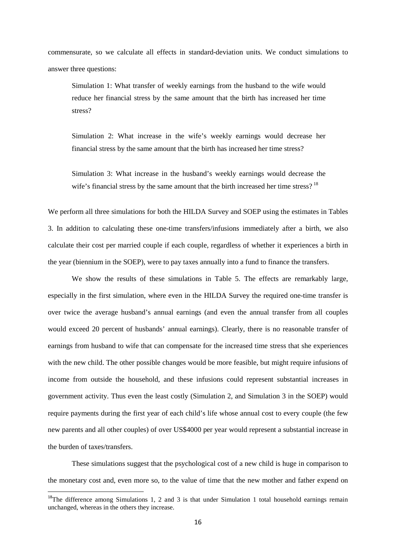commensurate, so we calculate all effects in standard-deviation units. We conduct simulations to answer three questions:

Simulation 1: What transfer of weekly earnings from the husband to the wife would reduce her financial stress by the same amount that the birth has increased her time stress?

Simulation 2: What increase in the wife's weekly earnings would decrease her financial stress by the same amount that the birth has increased her time stress?

Simulation 3: What increase in the husband's weekly earnings would decrease the wife's financial stress by the same amount that the birth increased her time stress?  $18$ 

We perform all three simulations for both the HILDA Survey and SOEP using the estimates in Tables 3. In addition to calculating these one-time transfers/infusions immediately after a birth, we also calculate their cost per married couple if each couple, regardless of whether it experiences a birth in the year (biennium in the SOEP), were to pay taxes annually into a fund to finance the transfers.

We show the results of these simulations in Table 5. The effects are remarkably large, especially in the first simulation, where even in the HILDA Survey the required one-time transfer is over twice the average husband's annual earnings (and even the annual transfer from all couples would exceed 20 percent of husbands' annual earnings). Clearly, there is no reasonable transfer of earnings from husband to wife that can compensate for the increased time stress that she experiences with the new child. The other possible changes would be more feasible, but might require infusions of income from outside the household, and these infusions could represent substantial increases in government activity. Thus even the least costly (Simulation 2, and Simulation 3 in the SOEP) would require payments during the first year of each child's life whose annual cost to every couple (the few new parents and all other couples) of over US\$4000 per year would represent a substantial increase in the burden of taxes/transfers.

These simulations suggest that the psychological cost of a new child is huge in comparison to the monetary cost and, even more so, to the value of time that the new mother and father expend on

<span id="page-18-0"></span> $18$ The difference among Simulations 1, 2 and 3 is that under Simulation 1 total household earnings remain unchanged, whereas in the others they increase.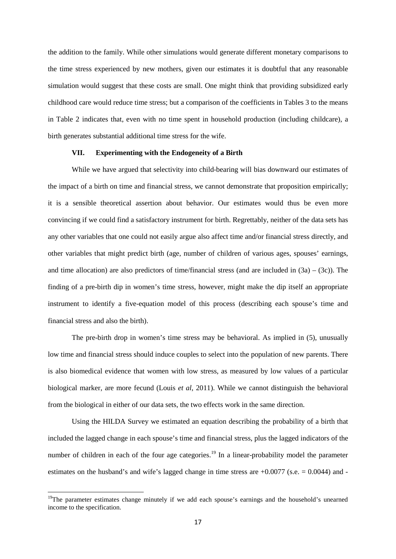the addition to the family. While other simulations would generate different monetary comparisons to the time stress experienced by new mothers, given our estimates it is doubtful that any reasonable simulation would suggest that these costs are small. One might think that providing subsidized early childhood care would reduce time stress; but a comparison of the coefficients in Tables 3 to the means in Table 2 indicates that, even with no time spent in household production (including childcare), a birth generates substantial additional time stress for the wife.

#### **VII. Experimenting with the Endogeneity of a Birth**

While we have argued that selectivity into child-bearing will bias downward our estimates of the impact of a birth on time and financial stress, we cannot demonstrate that proposition empirically; it is a sensible theoretical assertion about behavior. Our estimates would thus be even more convincing if we could find a satisfactory instrument for birth. Regrettably, neither of the data sets has any other variables that one could not easily argue also affect time and/or financial stress directly, and other variables that might predict birth (age, number of children of various ages, spouses' earnings, and time allocation) are also predictors of time/financial stress (and are included in  $(3a) - (3c)$ ). The finding of a pre-birth dip in women's time stress, however, might make the dip itself an appropriate instrument to identify a five-equation model of this process (describing each spouse's time and financial stress and also the birth).

The pre-birth drop in women's time stress may be behavioral. As implied in (5), unusually low time and financial stress should induce couples to select into the population of new parents. There is also biomedical evidence that women with low stress, as measured by low values of a particular biological marker, are more fecund (Louis *et al*, 2011). While we cannot distinguish the behavioral from the biological in either of our data sets, the two effects work in the same direction.

Using the HILDA Survey we estimated an equation describing the probability of a birth that included the lagged change in each spouse's time and financial stress, plus the lagged indicators of the number of children in each of the four age categories.<sup>[19](#page-18-0)</sup> In a linear-probability model the parameter estimates on the husband's and wife's lagged change in time stress are  $+0.0077$  (s.e.  $= 0.0044$ ) and -

<span id="page-19-0"></span><sup>&</sup>lt;sup>19</sup>The parameter estimates change minutely if we add each spouse's earnings and the household's unearned income to the specification.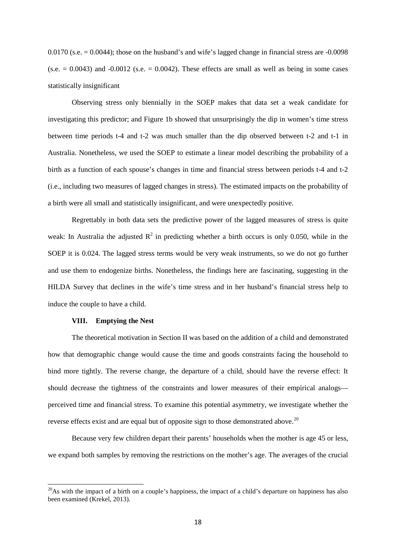$0.0170$  (s.e.  $= 0.0044$ ); those on the husband's and wife's lagged change in financial stress are  $-0.0098$  $(s.e. = 0.0043)$  and  $-0.0012$  (s.e.  $= 0.0042$ ). These effects are small as well as being in some cases statistically insignificant

Observing stress only biennially in the SOEP makes that data set a weak candidate for investigating this predictor; and Figure 1b showed that unsurprisingly the dip in women's time stress between time periods t-4 and t-2 was much smaller than the dip observed between t-2 and t-1 in Australia. Nonetheless, we used the SOEP to estimate a linear model describing the probability of a birth as a function of each spouse's changes in time and financial stress between periods t-4 and t-2 (i.e., including two measures of lagged changes in stress). The estimated impacts on the probability of a birth were all small and statistically insignificant, and were unexpectedly positive.

Regrettably in both data sets the predictive power of the lagged measures of stress is quite weak: In Australia the adjusted  $\mathbb{R}^2$  in predicting whether a birth occurs is only 0.050, while in the SOEP it is 0.024. The lagged stress terms would be very weak instruments, so we do not go further and use them to endogenize births. Nonetheless, the findings here are fascinating, suggesting in the HILDA Survey that declines in the wife's time stress and in her husband's financial stress help to induce the couple to have a child.

#### **VIII. Emptying the Nest**

The theoretical motivation in Section II was based on the addition of a child and demonstrated how that demographic change would cause the time and goods constraints facing the household to bind more tightly. The reverse change, the departure of a child, should have the reverse effect: It should decrease the tightness of the constraints and lower measures of their empirical analogs perceived time and financial stress. To examine this potential asymmetry, we investigate whether the reverse effects exist and are equal but of opposite sign to those demonstrated above.<sup>[20](#page-19-0)</sup>

<span id="page-20-0"></span>Because very few children depart their parents' households when the mother is age 45 or less, we expand both samples by removing the restrictions on the mother's age. The averages of the crucial

 $^{20}$ As with the impact of a birth on a couple's happiness, the impact of a child's departure on happiness has also been examined (Krekel, 2013).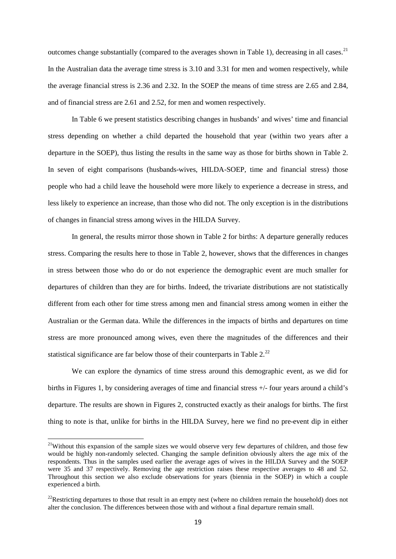outcomes change substantially (compared to the averages shown in Table 1), decreasing in all cases.<sup>[21](#page-20-0)</sup> In the Australian data the average time stress is 3.10 and 3.31 for men and women respectively, while the average financial stress is 2.36 and 2.32. In the SOEP the means of time stress are 2.65 and 2.84, and of financial stress are 2.61 and 2.52, for men and women respectively.

In Table 6 we present statistics describing changes in husbands' and wives' time and financial stress depending on whether a child departed the household that year (within two years after a departure in the SOEP), thus listing the results in the same way as those for births shown in Table 2. In seven of eight comparisons (husbands-wives, HILDA-SOEP, time and financial stress) those people who had a child leave the household were more likely to experience a decrease in stress, and less likely to experience an increase, than those who did not. The only exception is in the distributions of changes in financial stress among wives in the HILDA Survey.

In general, the results mirror those shown in Table 2 for births: A departure generally reduces stress. Comparing the results here to those in Table 2, however, shows that the differences in changes in stress between those who do or do not experience the demographic event are much smaller for departures of children than they are for births. Indeed, the trivariate distributions are not statistically different from each other for time stress among men and financial stress among women in either the Australian or the German data. While the differences in the impacts of births and departures on time stress are more pronounced among wives, even there the magnitudes of the differences and their statistical significance are far below those of their counterparts in Table  $2.22$  $2.22$ 

We can explore the dynamics of time stress around this demographic event, as we did for births in Figures 1, by considering averages of time and financial stress +/- four years around a child's departure. The results are shown in Figures 2, constructed exactly as their analogs for births. The first thing to note is that, unlike for births in the HILDA Survey, here we find no pre-event dip in either

 $21$ Without this expansion of the sample sizes we would observe very few departures of children, and those few would be highly non-randomly selected. Changing the sample definition obviously alters the age mix of the respondents. Thus in the samples used earlier the average ages of wives in the HILDA Survey and the SOEP were 35 and 37 respectively. Removing the age restriction raises these respective averages to 48 and 52. Throughout this section we also exclude observations for years (biennia in the SOEP) in which a couple experienced a birth.

<span id="page-21-0"></span><sup>&</sup>lt;sup>22</sup>Restricting departures to those that result in an empty nest (where no children remain the household) does not alter the conclusion. The differences between those with and without a final departure remain small.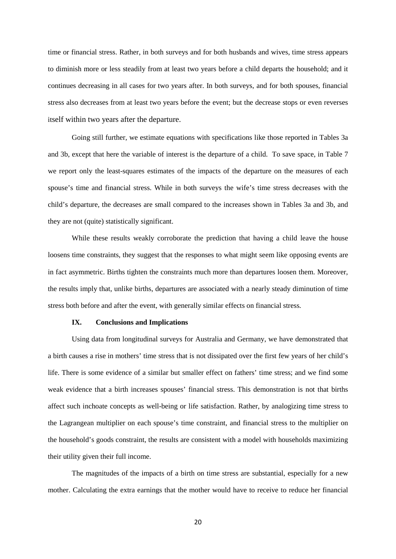time or financial stress. Rather, in both surveys and for both husbands and wives, time stress appears to diminish more or less steadily from at least two years before a child departs the household; and it continues decreasing in all cases for two years after. In both surveys, and for both spouses, financial stress also decreases from at least two years before the event; but the decrease stops or even reverses itself within two years after the departure.

Going still further, we estimate equations with specifications like those reported in Tables 3a and 3b, except that here the variable of interest is the departure of a child. To save space, in Table 7 we report only the least-squares estimates of the impacts of the departure on the measures of each spouse's time and financial stress. While in both surveys the wife's time stress decreases with the child's departure, the decreases are small compared to the increases shown in Tables 3a and 3b, and they are not (quite) statistically significant.

While these results weakly corroborate the prediction that having a child leave the house loosens time constraints, they suggest that the responses to what might seem like opposing events are in fact asymmetric. Births tighten the constraints much more than departures loosen them. Moreover, the results imply that, unlike births, departures are associated with a nearly steady diminution of time stress both before and after the event, with generally similar effects on financial stress.

#### **IX. Conclusions and Implications**

Using data from longitudinal surveys for Australia and Germany, we have demonstrated that a birth causes a rise in mothers' time stress that is not dissipated over the first few years of her child's life. There is some evidence of a similar but smaller effect on fathers' time stress; and we find some weak evidence that a birth increases spouses' financial stress. This demonstration is not that births affect such inchoate concepts as well-being or life satisfaction. Rather, by analogizing time stress to the Lagrangean multiplier on each spouse's time constraint, and financial stress to the multiplier on the household's goods constraint, the results are consistent with a model with households maximizing their utility given their full income.

The magnitudes of the impacts of a birth on time stress are substantial, especially for a new mother. Calculating the extra earnings that the mother would have to receive to reduce her financial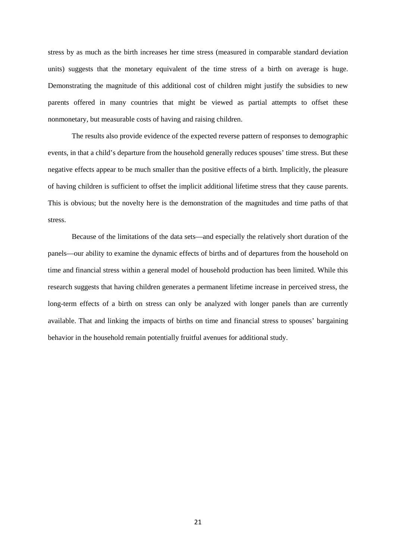stress by as much as the birth increases her time stress (measured in comparable standard deviation units) suggests that the monetary equivalent of the time stress of a birth on average is huge. Demonstrating the magnitude of this additional cost of children might justify the subsidies to new parents offered in many countries that might be viewed as partial attempts to offset these nonmonetary, but measurable costs of having and raising children.

The results also provide evidence of the expected reverse pattern of responses to demographic events, in that a child's departure from the household generally reduces spouses' time stress. But these negative effects appear to be much smaller than the positive effects of a birth. Implicitly, the pleasure of having children is sufficient to offset the implicit additional lifetime stress that they cause parents. This is obvious; but the novelty here is the demonstration of the magnitudes and time paths of that stress.

Because of the limitations of the data sets—and especially the relatively short duration of the panels—our ability to examine the dynamic effects of births and of departures from the household on time and financial stress within a general model of household production has been limited. While this research suggests that having children generates a permanent lifetime increase in perceived stress, the long-term effects of a birth on stress can only be analyzed with longer panels than are currently available. That and linking the impacts of births on time and financial stress to spouses' bargaining behavior in the household remain potentially fruitful avenues for additional study.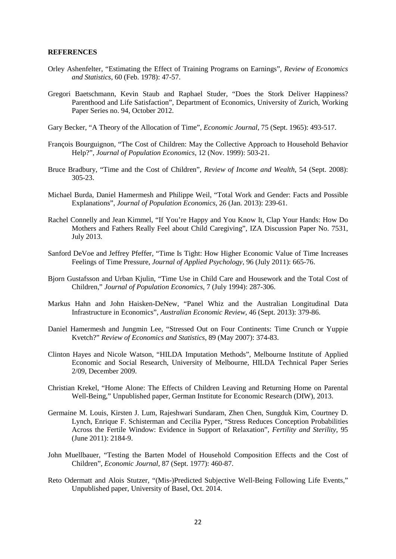#### **REFERENCES**

- Orley Ashenfelter, "Estimating the Effect of Training Programs on Earnings", *Review of Economics and Statistics*, 60 (Feb. 1978): 47-57.
- Gregori Baetschmann, Kevin Staub and Raphael Studer, "Does the Stork Deliver Happiness? Parenthood and Life Satisfaction", Department of Economics, University of Zurich, Working Paper Series no. 94, October 2012.
- Gary Becker, "A Theory of the Allocation of Time", *Economic Journal*, 75 (Sept. 1965): 493-517.
- François Bourguignon, "The Cost of Children: May the Collective Approach to Household Behavior Help?", *Journal of Population Economics*, 12 (Nov. 1999): 503-21.
- Bruce Bradbury, "Time and the Cost of Children", *Review of Income and Wealth*, 54 (Sept. 2008): 305-23.
- Michael Burda, Daniel Hamermesh and Philippe Weil, "Total Work and Gender: Facts and Possible Explanations", *Journal of Population Economics*, 26 (Jan. 2013): 239-61.
- Rachel Connelly and Jean Kimmel, "If You're Happy and You Know It, Clap Your Hands: How Do Mothers and Fathers Really Feel about Child Caregiving", IZA Discussion Paper No. 7531, July 2013.
- Sanford DeVoe and Jeffrey Pfeffer, "Time Is Tight: How Higher Economic Value of Time Increases Feelings of Time Pressure, *Journal of Applied Psychology*, 96 (July 2011): 665-76.
- Bjorn Gustafsson and Urban Kjulin, "Time Use in Child Care and Housework and the Total Cost of Children," *Journal of Population Economics*, 7 (July 1994): 287-306.
- Markus Hahn and John Haisken-DeNew, "Panel Whiz and the Australian Longitudinal Data Infrastructure in Economics", *Australian Economic Review*, 46 (Sept. 2013): 379-86.
- Daniel Hamermesh and Jungmin Lee, "Stressed Out on Four Continents: Time Crunch or Yuppie Kvetch?" *Review of Economics and Statistics*, 89 (May 2007): 374-83.
- Clinton Hayes and Nicole Watson, "HILDA Imputation Methods", Melbourne Institute of Applied Economic and Social Research, University of Melbourne, HILDA Technical Paper Series 2/09, December 2009.
- Christian Krekel, "Home Alone: The Effects of Children Leaving and Returning Home on Parental Well-Being," Unpublished paper, German Institute for Economic Research (DIW), 2013.
- Germaine M. Louis, Kirsten J. Lum, Rajeshwari Sundaram, Zhen Chen, Sungduk Kim, Courtney D. Lynch, Enrique F. Schisterman and Cecilia Pyper, "Stress Reduces Conception Probabilities Across the Fertile Window: Evidence in Support of Relaxation", *Fertility and Sterility*, 95 (June 2011): 2184-9.
- John Muellbauer, "Testing the Barten Model of Household Composition Effects and the Cost of Children", *Economic Journal*, 87 (Sept. 1977): 460-87.
- Reto Odermatt and Alois Stutzer, "(Mis-)Predicted Subjective Well-Being Following Life Events," Unpublished paper, University of Basel, Oct. 2014.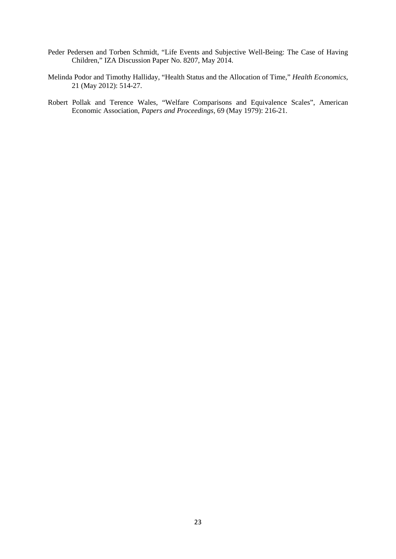- Peder Pedersen and Torben Schmidt, "Life Events and Subjective Well-Being: The Case of Having Children," IZA Discussion Paper No. 8207, May 2014.
- Melinda Podor and Timothy Halliday, "Health Status and the Allocation of Time," *Health Economics*, 21 (May 2012): 514-27.
- Robert Pollak and Terence Wales, "Welfare Comparisons and Equivalence Scales", American Economic Association, *Papers and Proceedings*, 69 (May 1979): 216-21.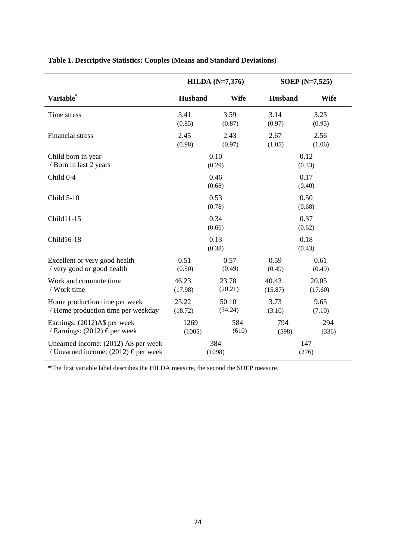|                                              |                                  | <b>HILDA</b> $(N=7,376)$ |                | SOEP $(N=7,525)$ |  |
|----------------------------------------------|----------------------------------|--------------------------|----------------|------------------|--|
| Variable*                                    | Husband                          | <b>Wife</b>              | Husband        | <b>Wife</b>      |  |
| Time stress                                  | 3.41                             | 3.59                     | 3.14           | 3.25             |  |
|                                              | (0.85)                           | (0.87)                   | (0.97)         | (0.95)           |  |
| <b>Financial stress</b>                      | 2.45                             | 2.43                     | 2.67           | 2.56             |  |
|                                              | (0.98)                           | (0.97)                   | (1.05)         | (1.06)           |  |
| Child born in year<br>/ Born in last 2 years |                                  | 0.10<br>(0.29)           |                | 0.12<br>(0.33)   |  |
| Child 0-4                                    | 0.46<br>0.17<br>(0.68)<br>(0.40) |                          |                |                  |  |
| Child 5-10                                   | 0.53<br>0.50<br>(0.78)<br>(0.68) |                          |                |                  |  |
| Child11-15                                   | 0.34<br>(0.66)                   |                          |                | 0.37<br>(0.62)   |  |
| Child16-18                                   |                                  | 0.13<br>(0.38)           | 0.18<br>(0.43) |                  |  |
| Excellent or very good health                | 0.51                             | 0.57                     | 0.59           | 0.61             |  |
| / very good or good health                   | (0.50)                           | (0.49)                   | (0.49)         | (0.49)           |  |
| Work and commute time                        | 46.23                            | 23.78                    | 40.43          | 20.05            |  |
| / Work time                                  | (17.98)                          | (20.21)                  | (15.87)        | (17.60)          |  |
| Home production time per week                | 25.22                            | 50.10                    | 3.73           | 9.65             |  |
| / Home production time per weekday           | (18.72)                          | (34.24)                  | (3.10)         | (7.10)           |  |
| Earnings: (2012)A\$ per week                 | 1269                             | 584                      | 794            | 294              |  |
| / Earnings: (2012) $\epsilon$ per week       | (1005)                           | (610)                    | (598)          | (336)            |  |
| Unearned income: (2012) A\$ per week         | 384                              |                          |                | 147              |  |
| / Unearned income: $(2012)$ € per week       | (1098)                           |                          |                | (276)            |  |

# **Table 1. Descriptive Statistics: Couples (Means and Standard Deviations)**

\*The first variable label describes the HILDA measure, the second the SOEP measure.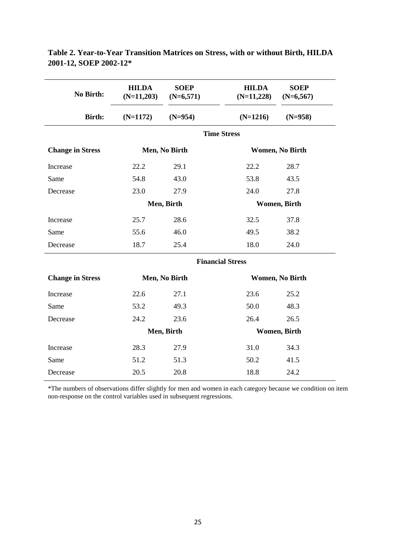| No Birth:               | <b>HILDA</b><br>$(N=11,203)$ | <b>SOEP</b><br>$(N=6,571)$ | <b>HILDA</b><br>$(N=11,228)$ | <b>SOEP</b><br>$(N=6,567)$ |
|-------------------------|------------------------------|----------------------------|------------------------------|----------------------------|
| <b>Birth:</b>           | $(N=1172)$                   | $(N=954)$                  | $(N=1216)$                   | $(N=958)$                  |
|                         |                              |                            | <b>Time Stress</b>           |                            |
| <b>Change in Stress</b> |                              | Men, No Birth              |                              | <b>Women, No Birth</b>     |
| Increase                | 22.2                         | 29.1                       | 22.2                         | 28.7                       |
| Same                    | 54.8                         | 43.0                       | 53.8                         | 43.5                       |
| Decrease                | 23.0                         | 27.9                       | 24.0                         | 27.8                       |
|                         |                              | Men, Birth                 |                              | Women, Birth               |
| Increase                | 25.7                         | 28.6                       | 32.5                         | 37.8                       |
| Same                    | 55.6                         | 46.0                       | 49.5                         | 38.2                       |
| Decrease                | 18.7                         | 25.4                       | 18.0                         | 24.0                       |
|                         |                              |                            | <b>Financial Stress</b>      |                            |
| <b>Change in Stress</b> |                              | Men, No Birth              |                              | <b>Women, No Birth</b>     |
| Increase                | 22.6                         | 27.1                       | 23.6                         | 25.2                       |
| Same                    | 53.2                         | 49.3                       | 50.0                         | 48.3                       |
| Decrease                | 24.2                         | 23.6                       | 26.4                         | 26.5                       |
|                         |                              | Men, Birth                 |                              | Women, Birth               |
| Increase                | 28.3                         | 27.9                       | 31.0                         | 34.3                       |
| Same                    | 51.2                         | 51.3                       | 50.2                         | 41.5                       |
| Decrease                | 20.5                         | 20.8                       | 18.8                         | 24.2                       |

# **Table 2. Year-to-Year Transition Matrices on Stress, with or without Birth, HILDA 2001-12, SOEP 2002-12\***

\*The numbers of observations differ slightly for men and women in each category because we condition on item non-response on the control variables used in subsequent regressions.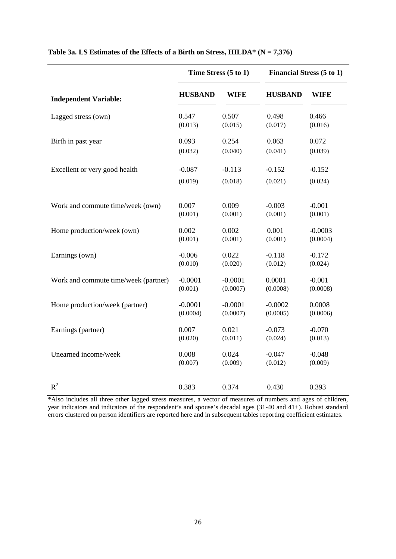|                                      |                | Time Stress (5 to 1) | <b>Financial Stress (5 to 1)</b> |             |  |
|--------------------------------------|----------------|----------------------|----------------------------------|-------------|--|
| <b>Independent Variable:</b>         | <b>HUSBAND</b> | <b>WIFE</b>          | <b>HUSBAND</b>                   | <b>WIFE</b> |  |
| Lagged stress (own)                  | 0.547          | 0.507                | 0.498                            | 0.466       |  |
|                                      | (0.013)        | (0.015)              | (0.017)                          | (0.016)     |  |
| Birth in past year                   | 0.093          | 0.254                | 0.063                            | 0.072       |  |
|                                      | (0.032)        | (0.040)              | (0.041)                          | (0.039)     |  |
| Excellent or very good health        | $-0.087$       | $-0.113$             | $-0.152$                         | $-0.152$    |  |
|                                      | (0.019)        | (0.018)              | (0.021)                          | (0.024)     |  |
| Work and commute time/week (own)     | 0.007          | 0.009                | $-0.003$                         | $-0.001$    |  |
|                                      | (0.001)        | (0.001)              | (0.001)                          | (0.001)     |  |
| Home production/week (own)           | 0.002          | 0.002                | 0.001                            | $-0.0003$   |  |
|                                      | (0.001)        | (0.001)              | (0.001)                          | (0.0004)    |  |
| Earnings (own)                       | $-0.006$       | 0.022                | $-0.118$                         | $-0.172$    |  |
|                                      | (0.010)        | (0.020)              | (0.012)                          | (0.024)     |  |
| Work and commute time/week (partner) | $-0.0001$      | $-0.0001$            | 0.0001                           | $-0.001$    |  |
|                                      | (0.001)        | (0.0007)             | (0.0008)                         | (0.0008)    |  |
| Home production/week (partner)       | $-0.0001$      | $-0.0001$            | $-0.0002$                        | 0.0008      |  |
|                                      | (0.0004)       | (0.0007)             | (0.0005)                         | (0.0006)    |  |
| Earnings (partner)                   | 0.007          | 0.021                | $-0.073$                         | $-0.070$    |  |
|                                      | (0.020)        | (0.011)              | (0.024)                          | (0.013)     |  |
| Unearned income/week                 | 0.008          | 0.024                | $-0.047$                         | $-0.048$    |  |
|                                      | (0.007)        | (0.009)              | (0.012)                          | (0.009)     |  |
| $R^2$                                | 0.383          | 0.374                | 0.430                            | 0.393       |  |

### **Table 3a. LS Estimates of the Effects of a Birth on Stress, HILDA\* (N = 7,376)**

\*Also includes all three other lagged stress measures, a vector of measures of numbers and ages of children, year indicators and indicators of the respondent's and spouse's decadal ages (31-40 and 41+). Robust standard errors clustered on person identifiers are reported here and in subsequent tables reporting coefficient estimates.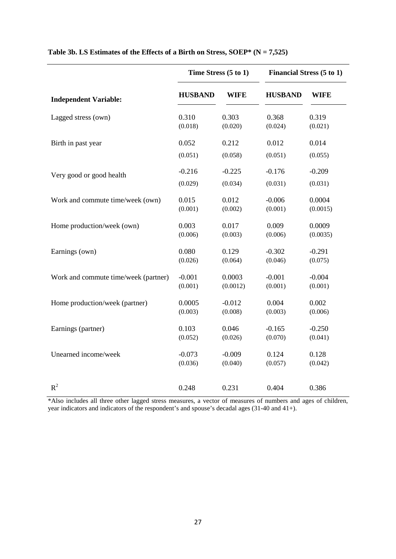|                                      |                | Time Stress (5 to 1) | <b>Financial Stress (5 to 1)</b> |             |  |
|--------------------------------------|----------------|----------------------|----------------------------------|-------------|--|
| <b>Independent Variable:</b>         | <b>HUSBAND</b> | <b>WIFE</b>          | <b>HUSBAND</b>                   | <b>WIFE</b> |  |
| Lagged stress (own)                  | 0.310          | 0.303                | 0.368                            | 0.319       |  |
|                                      | (0.018)        | (0.020)              | (0.024)                          | (0.021)     |  |
| Birth in past year                   | 0.052          | 0.212                | 0.012                            | 0.014       |  |
|                                      | (0.051)        | (0.058)              | (0.051)                          | (0.055)     |  |
| Very good or good health             | $-0.216$       | $-0.225$             | $-0.176$                         | $-0.209$    |  |
|                                      | (0.029)        | (0.034)              | (0.031)                          | (0.031)     |  |
| Work and commute time/week (own)     | 0.015          | 0.012                | $-0.006$                         | 0.0004      |  |
|                                      | (0.001)        | (0.002)              | (0.001)                          | (0.0015)    |  |
| Home production/week (own)           | 0.003          | 0.017                | 0.009                            | 0.0009      |  |
|                                      | (0.006)        | (0.003)              | (0.006)                          | (0.0035)    |  |
| Earnings (own)                       | 0.080          | 0.129                | $-0.302$                         | $-0.291$    |  |
|                                      | (0.026)        | (0.064)              | (0.046)                          | (0.075)     |  |
| Work and commute time/week (partner) | $-0.001$       | 0.0003               | $-0.001$                         | $-0.004$    |  |
|                                      | (0.001)        | (0.0012)             | (0.001)                          | (0.001)     |  |
| Home production/week (partner)       | 0.0005         | $-0.012$             | 0.004                            | 0.002       |  |
|                                      | (0.003)        | (0.008)              | (0.003)                          | (0.006)     |  |
| Earnings (partner)                   | 0.103          | 0.046                | $-0.165$                         | $-0.250$    |  |
|                                      | (0.052)        | (0.026)              | (0.070)                          | (0.041)     |  |
| Unearned income/week                 | $-0.073$       | $-0.009$             | 0.124                            | 0.128       |  |
|                                      | (0.036)        | (0.040)              | (0.057)                          | (0.042)     |  |
| $R^2$                                | 0.248          | 0.231                | 0.404                            | 0.386       |  |

# **Table 3b. LS Estimates of the Effects of a Birth on Stress, SOEP\* (N = 7,525)**

\*Also includes all three other lagged stress measures, a vector of measures of numbers and ages of children, year indicators and indicators of the respondent's and spouse's decadal ages (31-40 and 41+).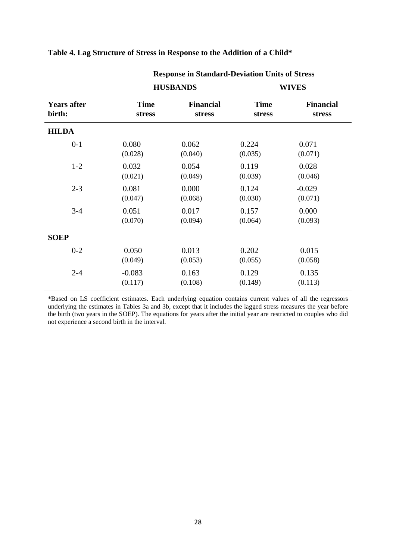|                    | <b>Response in Standard-Deviation Units of Stress</b> |                  |             |                  |  |  |  |  |  |
|--------------------|-------------------------------------------------------|------------------|-------------|------------------|--|--|--|--|--|
|                    |                                                       | <b>HUSBANDS</b>  |             | <b>WIVES</b>     |  |  |  |  |  |
| <b>Years after</b> | <b>Time</b>                                           | <b>Financial</b> | <b>Time</b> | <b>Financial</b> |  |  |  |  |  |
| birth:             | <b>stress</b>                                         | stress           | stress      | stress           |  |  |  |  |  |
| <b>HILDA</b>       |                                                       |                  |             |                  |  |  |  |  |  |
| $0-1$              | 0.080                                                 | 0.062            | 0.224       | 0.071            |  |  |  |  |  |
|                    | (0.028)                                               | (0.040)          | (0.035)     | (0.071)          |  |  |  |  |  |
| $1-2$              | 0.032                                                 | 0.054            | 0.119       | 0.028            |  |  |  |  |  |
|                    | (0.021)                                               | (0.049)          | (0.039)     | (0.046)          |  |  |  |  |  |
| $2 - 3$            | 0.081                                                 | 0.000            | 0.124       | $-0.029$         |  |  |  |  |  |
|                    | (0.047)                                               | (0.068)          | (0.030)     | (0.071)          |  |  |  |  |  |
| $3-4$              | 0.051                                                 | 0.017            | 0.157       | 0.000            |  |  |  |  |  |
|                    | (0.070)                                               | (0.094)          | (0.064)     | (0.093)          |  |  |  |  |  |
| <b>SOEP</b>        |                                                       |                  |             |                  |  |  |  |  |  |
| $0 - 2$            | 0.050                                                 | 0.013            | 0.202       | 0.015            |  |  |  |  |  |
|                    | (0.049)                                               | (0.053)          | (0.055)     | (0.058)          |  |  |  |  |  |
| $2 - 4$            | $-0.083$                                              | 0.163            | 0.129       | 0.135            |  |  |  |  |  |
|                    | (0.117)                                               | (0.108)          | (0.149)     | (0.113)          |  |  |  |  |  |

#### **Table 4. Lag Structure of Stress in Response to the Addition of a Child\***

\*Based on LS coefficient estimates. Each underlying equation contains current values of all the regressors underlying the estimates in Tables 3a and 3b, except that it includes the lagged stress measures the year before the birth (two years in the SOEP). The equations for years after the initial year are restricted to couples who did not experience a second birth in the interval.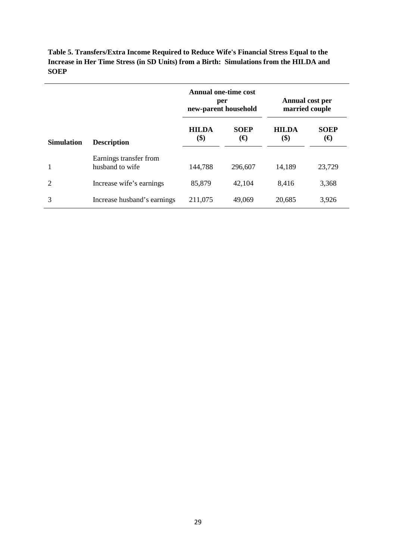**Table 5. Transfers/Extra Income Required to Reduce Wife's Financial Stress Equal to the Increase in Her Time Stress (in SD Units) from a Birth: Simulations from the HILDA and SOEP**

|                   |                                           |                     | Annual one-time cost<br>per<br>new-parent household | <b>Annual cost per</b><br>married couple |                    |
|-------------------|-------------------------------------------|---------------------|-----------------------------------------------------|------------------------------------------|--------------------|
| <b>Simulation</b> | <b>Description</b>                        | <b>HILDA</b><br>\$) | <b>SOEP</b><br>$\Theta$                             | <b>HILDA</b><br>\$)                      | <b>SOEP</b><br>(€) |
|                   | Earnings transfer from<br>husband to wife | 144,788             | 296,607                                             | 14,189                                   | 23,729             |
| 2                 | Increase wife's earnings                  | 85,879              | 42,104                                              | 8,416                                    | 3,368              |
| 3                 | Increase husband's earnings               | 211,075             | 49,069                                              | 20,685                                   | 3,926              |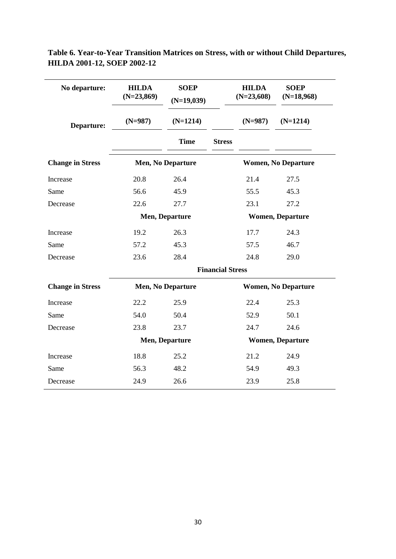| No departure:           | <b>HILDA</b><br>$(N=23,869)$ | <b>SOEP</b><br>$(N=19,039)$ | <b>HILDA</b><br>$(N=23,608)$ | <b>SOEP</b><br>$(N=18,968)$ |
|-------------------------|------------------------------|-----------------------------|------------------------------|-----------------------------|
| Departure:              | $(N=987)$                    | $(N=1214)$                  | $(N=987)$                    | $(N=1214)$                  |
|                         |                              | <b>Time</b>                 | <b>Stress</b>                |                             |
| <b>Change in Stress</b> |                              | <b>Men, No Departure</b>    |                              | <b>Women, No Departure</b>  |
| Increase                | 20.8                         | 26.4                        | 21.4                         | 27.5                        |
| Same                    | 56.6                         | 45.9                        | 55.5                         | 45.3                        |
| Decrease                | 22.6                         | 27.7                        | 23.1                         | 27.2                        |
|                         |                              | <b>Men, Departure</b>       |                              | <b>Women, Departure</b>     |
| Increase                | 19.2                         | 26.3                        | 17.7                         | 24.3                        |
| Same                    | 57.2                         | 45.3                        | 57.5                         | 46.7                        |
| Decrease                | 23.6                         | 28.4                        | 24.8                         | 29.0                        |
|                         |                              |                             | <b>Financial Stress</b>      |                             |
| <b>Change in Stress</b> |                              | <b>Men, No Departure</b>    |                              | <b>Women, No Departure</b>  |
| Increase                | 22.2                         | 25.9                        | 22.4                         | 25.3                        |
| Same                    | 54.0                         | 50.4                        | 52.9                         | 50.1                        |
| Decrease                | 23.8                         | 23.7                        | 24.7                         | 24.6                        |
|                         |                              | Men, Departure              |                              | <b>Women, Departure</b>     |
| Increase                | 18.8                         | 25.2                        | 21.2                         | 24.9                        |
| Same                    | 56.3                         | 48.2                        | 54.9                         | 49.3                        |
| Decrease                | 24.9                         | 26.6                        | 23.9                         | 25.8                        |

**Table 6. Year-to-Year Transition Matrices on Stress, with or without Child Departures, HILDA 2001-12, SOEP 2002-12**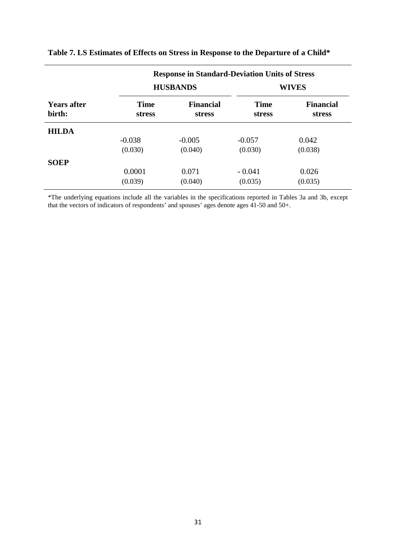|                              | <b>Response in Standard-Deviation Units of Stress</b> |                                   |                              |                                   |  |  |  |  |  |
|------------------------------|-------------------------------------------------------|-----------------------------------|------------------------------|-----------------------------------|--|--|--|--|--|
|                              |                                                       | <b>HUSBANDS</b>                   | <b>WIVES</b>                 |                                   |  |  |  |  |  |
| <b>Years after</b><br>birth: | <b>Time</b><br><b>stress</b>                          | <b>Financial</b><br><b>stress</b> | <b>Time</b><br><b>stress</b> | <b>Financial</b><br><b>stress</b> |  |  |  |  |  |
| <b>HILDA</b>                 |                                                       |                                   |                              |                                   |  |  |  |  |  |
|                              | $-0.038$                                              | $-0.005$                          | $-0.057$                     | 0.042                             |  |  |  |  |  |
|                              | (0.030)                                               | (0.040)                           | (0.030)                      | (0.038)                           |  |  |  |  |  |
| <b>SOEP</b>                  |                                                       |                                   |                              |                                   |  |  |  |  |  |
|                              | 0.0001                                                | 0.071                             | $-0.041$                     | 0.026                             |  |  |  |  |  |
|                              | (0.039)                                               | (0.040)                           | (0.035)                      | (0.035)                           |  |  |  |  |  |

# **Table 7. LS Estimates of Effects on Stress in Response to the Departure of a Child\***

\*The underlying equations include all the variables in the specifications reported in Tables 3a and 3b, except that the vectors of indicators of respondents' and spouses' ages denote ages 41-50 and 50+.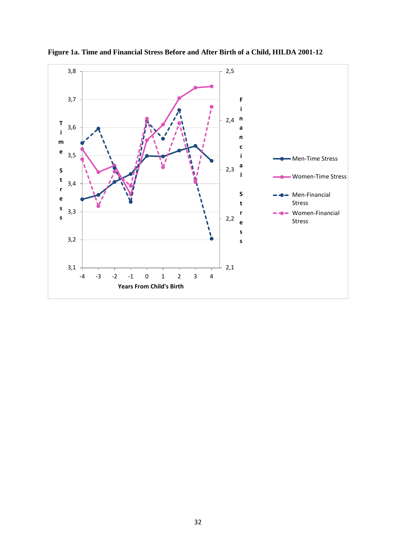

**Figure 1a. Time and Financial Stress Before and After Birth of a Child, HILDA 2001-12**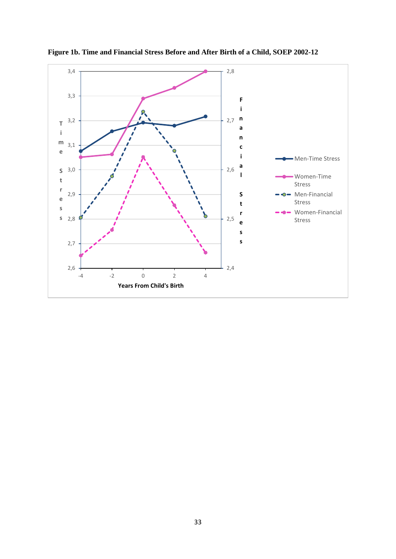

**Figure 1b. Time and Financial Stress Before and After Birth of a Child, SOEP 2002-12**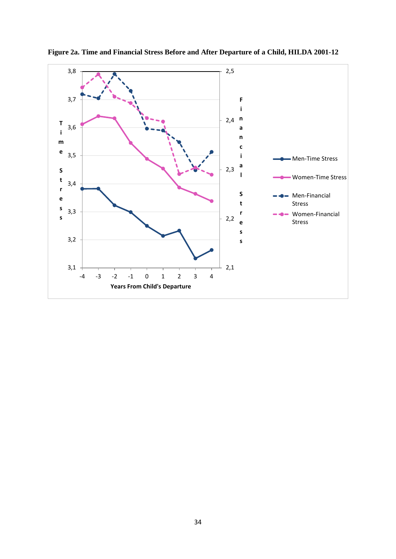

**Figure 2a. Time and Financial Stress Before and After Departure of a Child, HILDA 2001-12**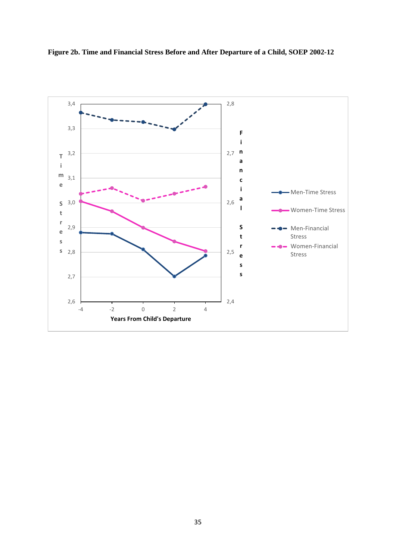

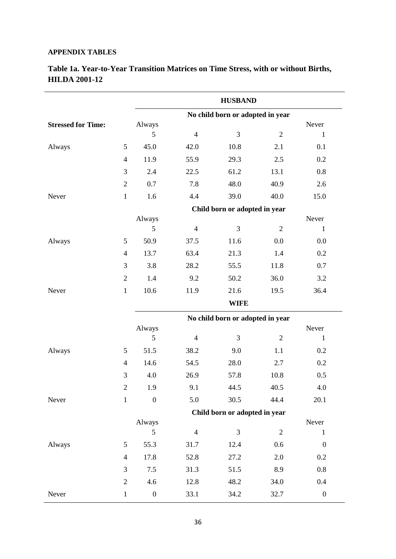### **APPENDIX TABLES**

|                           |                         |                  |                | <b>HUSBAND</b>                   |                |                  |
|---------------------------|-------------------------|------------------|----------------|----------------------------------|----------------|------------------|
|                           |                         |                  |                | No child born or adopted in year |                |                  |
| <b>Stressed for Time:</b> |                         | Always           |                |                                  |                | Never            |
|                           |                         | 5                | $\overline{4}$ | 3                                | $\sqrt{2}$     | $\mathbf{1}$     |
| Always                    | 5                       | 45.0             | 42.0           | 10.8                             | 2.1            | 0.1              |
|                           | $\overline{4}$          | 11.9             | 55.9           | 29.3                             | 2.5            | 0.2              |
|                           | 3                       | 2.4              | 22.5           | 61.2                             | 13.1           | 0.8              |
|                           | $\mathbf{2}$            | 0.7              | 7.8            | 48.0                             | 40.9           | 2.6              |
| Never                     | $\mathbf 1$             | 1.6              | 4.4            | 39.0                             | 40.0           | 15.0             |
|                           |                         |                  |                | Child born or adopted in year    |                |                  |
|                           |                         | Always           |                |                                  |                | Never            |
|                           |                         | 5                | $\overline{4}$ | 3                                | $\overline{2}$ | $\mathbf{1}$     |
| Always                    | $\mathfrak{S}$          | 50.9             | 37.5           | 11.6                             | 0.0            | 0.0              |
|                           | $\overline{\mathbf{4}}$ | 13.7             | 63.4           | 21.3                             | 1.4            | 0.2              |
|                           | $\mathfrak{Z}$          | 3.8              | 28.2           | 55.5                             | 11.8           | 0.7              |
|                           | $\sqrt{2}$              | 1.4              | 9.2            | 50.2                             | 36.0           | 3.2              |
| Never                     | $\mathbf 1$             | 10.6             | 11.9           | 21.6                             | 19.5           | 36.4             |
|                           |                         |                  |                | <b>WIFE</b>                      |                |                  |
|                           |                         |                  |                | No child born or adopted in year |                |                  |
|                           |                         | Always           |                |                                  |                | Never            |
|                           |                         | 5                | $\overline{4}$ | $\mathfrak{Z}$                   | $\sqrt{2}$     | $\mathbf{1}$     |
| Always                    | 5                       | 51.5             | 38.2           | 9.0                              | 1.1            | 0.2              |
|                           | $\overline{4}$          | 14.6             | 54.5           | 28.0                             | 2.7            | 0.2              |
|                           | 3                       | 4.0              | 26.9           | 57.8                             | 10.8           | 0.5              |
|                           | 2                       | 1.9              | 9.1            | 44.5                             | 40.5           | $4.0\,$          |
| Never                     | $\mathbf 1$             | $\boldsymbol{0}$ | 5.0            | 30.5                             | 44.4           | 20.1             |
|                           |                         |                  |                | Child born or adopted in year    |                |                  |
|                           |                         | Always           |                |                                  |                | Never            |
|                           |                         | 5                | $\overline{4}$ | 3                                | $\overline{2}$ | $\mathbf{1}$     |
| Always                    | 5                       | 55.3             | 31.7           | 12.4                             | 0.6            | $\boldsymbol{0}$ |
|                           | $\overline{\mathbf{4}}$ | 17.8             | 52.8           | 27.2                             | $2.0\,$        | 0.2              |
|                           | 3                       | 7.5              | 31.3           | 51.5                             | 8.9            | 0.8              |
|                           | $\overline{2}$          | 4.6              | 12.8           | 48.2                             | 34.0           | 0.4              |
| Never                     | $\,1$                   | $\boldsymbol{0}$ | 33.1           | 34.2                             | 32.7           | $\boldsymbol{0}$ |
|                           |                         |                  |                |                                  |                |                  |

## **Table 1a. Year-to-Year Transition Matrices on Time Stress, with or without Births, HILDA 2001-12**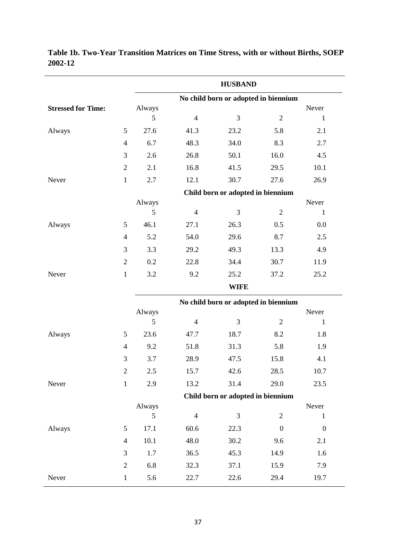|                           |                |        |                | <b>HUSBAND</b>                       |                  |                  |
|---------------------------|----------------|--------|----------------|--------------------------------------|------------------|------------------|
|                           |                |        |                | No child born or adopted in biennium |                  |                  |
| <b>Stressed for Time:</b> |                | Always |                |                                      |                  | Never            |
|                           |                | 5      | $\overline{4}$ | 3                                    | $\overline{2}$   | $\mathbf{1}$     |
| Always                    | $\mathfrak{S}$ | 27.6   | 41.3           | 23.2                                 | 5.8              | 2.1              |
|                           | $\overline{4}$ | 6.7    | 48.3           | 34.0                                 | 8.3              | 2.7              |
|                           | 3              | 2.6    | 26.8           | 50.1                                 | 16.0             | 4.5              |
|                           | $\sqrt{2}$     | 2.1    | 16.8           | 41.5                                 | 29.5             | 10.1             |
| Never                     | $\mathbf{1}$   | 2.7    | 12.1           | 30.7                                 | 27.6             | 26.9             |
|                           |                |        |                | Child born or adopted in biennium    |                  |                  |
|                           |                | Always |                |                                      |                  | Never            |
|                           |                | 5      | $\overline{4}$ | 3                                    | $\overline{2}$   | $\mathbf{1}$     |
| Always                    | 5              | 46.1   | 27.1           | 26.3                                 | 0.5              | 0.0              |
|                           | $\overline{4}$ | 5.2    | 54.0           | 29.6                                 | 8.7              | 2.5              |
|                           | 3              | 3.3    | 29.2           | 49.3                                 | 13.3             | 4.9              |
|                           | $\mathfrak{2}$ | 0.2    | 22.8           | 34.4                                 | 30.7             | 11.9             |
| Never                     | $\mathbf{1}$   | 3.2    | 9.2            | 25.2                                 | 37.2             | 25.2             |
|                           |                |        |                | <b>WIFE</b>                          |                  |                  |
|                           |                |        |                | No child born or adopted in biennium |                  |                  |
|                           |                | Always |                |                                      |                  | Never            |
|                           |                | 5      | $\overline{4}$ | 3                                    | $\overline{2}$   | $\mathbf{1}$     |
| Always                    | 5              | 23.6   | 47.7           | 18.7                                 | 8.2              | 1.8              |
|                           | $\overline{4}$ | 9.2    | 51.8           | 31.3                                 | 5.8              | 1.9              |
|                           | 3              | 3.7    | 28.9           | 47.5                                 | 15.8             | 4.1              |
|                           | 2              | 2.5    | 15.7           | 42.6                                 | 28.5             | 10.7             |
| Never                     | $\mathbf{1}$   | 2.9    | 13.2           | 31.4                                 | 29.0             | 23.5             |
|                           |                |        |                | Child born or adopted in biennium    |                  |                  |
|                           |                | Always |                | 3                                    |                  | Never            |
|                           |                | 5      | $\overline{4}$ |                                      | $\overline{2}$   | $\mathbf{1}$     |
| Always                    | 5              | 17.1   | 60.6           | 22.3                                 | $\boldsymbol{0}$ | $\boldsymbol{0}$ |
|                           | $\overline{4}$ | 10.1   | 48.0           | 30.2                                 | 9.6              | 2.1              |
|                           | 3              | 1.7    | 36.5           | 45.3                                 | 14.9             | 1.6              |
|                           | $\overline{2}$ | 6.8    | 32.3           | 37.1                                 | 15.9             | 7.9              |
| Never                     | $\mathbf{1}$   | 5.6    | 22.7           | 22.6                                 | 29.4             | 19.7             |

**Table 1b. Two-Year Transition Matrices on Time Stress, with or without Births, SOEP 2002-12**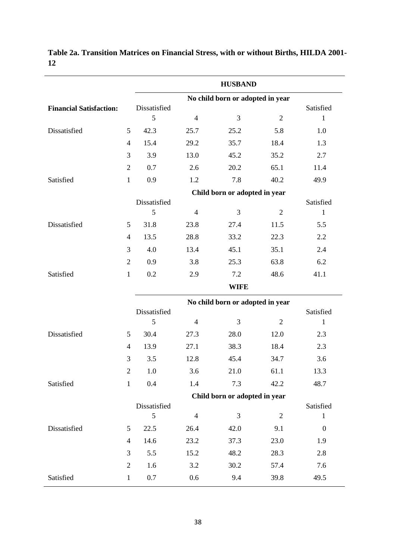|                                |                |              |                | <b>HUSBAND</b>                   |                |                  |  |  |
|--------------------------------|----------------|--------------|----------------|----------------------------------|----------------|------------------|--|--|
|                                |                |              |                | No child born or adopted in year |                |                  |  |  |
| <b>Financial Satisfaction:</b> |                | Dissatisfied |                |                                  |                | Satisfied        |  |  |
|                                |                | 5            | $\overline{4}$ | 3                                | $\overline{2}$ | $\mathbf{1}$     |  |  |
| Dissatisfied                   | 5              | 42.3         | 25.7           | 25.2                             | 5.8            | 1.0              |  |  |
|                                | $\overline{4}$ | 15.4         | 29.2           | 35.7                             | 18.4           | 1.3              |  |  |
|                                | 3              | 3.9          | 13.0           | 45.2                             | 35.2           | 2.7              |  |  |
|                                | $\overline{2}$ | 0.7          | 2.6            | 20.2                             | 65.1           | 11.4             |  |  |
| Satisfied                      | $\mathbf{1}$   | 0.9          | 1.2            | 7.8                              | 40.2           | 49.9             |  |  |
|                                |                |              |                | Child born or adopted in year    |                |                  |  |  |
|                                |                | Dissatisfied |                |                                  |                | Satisfied        |  |  |
|                                |                | 5            | $\overline{4}$ | 3                                | $\overline{2}$ | $\mathbf{1}$     |  |  |
| Dissatisfied                   | 5              | 31.8         | 23.8           | 27.4                             | 11.5           | 5.5              |  |  |
|                                | $\overline{4}$ | 13.5         | 28.8           | 33.2                             | 22.3           | 2.2              |  |  |
|                                | 3              | 4.0          | 13.4           | 45.1                             | 35.1           | 2.4              |  |  |
|                                | $\overline{2}$ | 0.9          | 3.8            | 25.3                             | 63.8           | 6.2              |  |  |
| Satisfied                      | $\mathbf{1}$   | 0.2          | 2.9            | 7.2                              | 48.6           | 41.1             |  |  |
|                                |                | <b>WIFE</b>  |                |                                  |                |                  |  |  |
|                                |                |              |                | No child born or adopted in year |                |                  |  |  |
|                                |                | Dissatisfied |                |                                  |                | Satisfied        |  |  |
|                                |                | 5            | $\overline{4}$ | 3                                | $\overline{2}$ | 1                |  |  |
| Dissatisfied                   | 5              | 30.4         | 27.3           | 28.0                             | 12.0           | 2.3              |  |  |
|                                | $\overline{4}$ | 13.9         | 27.1           | 38.3                             | 18.4           | 2.3              |  |  |
|                                | 3              | 3.5          | 12.8           | 45.4                             | 34.7           | 3.6              |  |  |
|                                | $\overline{2}$ | 1.0          | 3.6            | 21.0                             | 61.1           | 13.3             |  |  |
| Satisfied                      | $\mathbf 1$    | 0.4          | $1.4\,$        | 7.3                              | 42.2           | 48.7             |  |  |
|                                |                |              |                | Child born or adopted in year    |                |                  |  |  |
|                                |                | Dissatisfied |                |                                  |                | Satisfied        |  |  |
|                                |                | 5            | $\overline{4}$ | $\mathfrak{Z}$                   | $\mathbf{2}$   | $\mathbf{1}$     |  |  |
| Dissatisfied                   | 5              | 22.5         | 26.4           | 42.0                             | 9.1            | $\boldsymbol{0}$ |  |  |
|                                | $\overline{4}$ | 14.6         | 23.2           | 37.3                             | 23.0           | 1.9              |  |  |
|                                | 3              | 5.5          | 15.2           | 48.2                             | 28.3           | 2.8              |  |  |
|                                | $\overline{2}$ | 1.6          | 3.2            | 30.2                             | 57.4           | 7.6              |  |  |
| Satisfied                      | $\mathbf{1}$   | 0.7          | 0.6            | 9.4                              | 39.8           | 49.5             |  |  |

**Table 2a. Transition Matrices on Financial Stress, with or without Births, HILDA 2001- 12**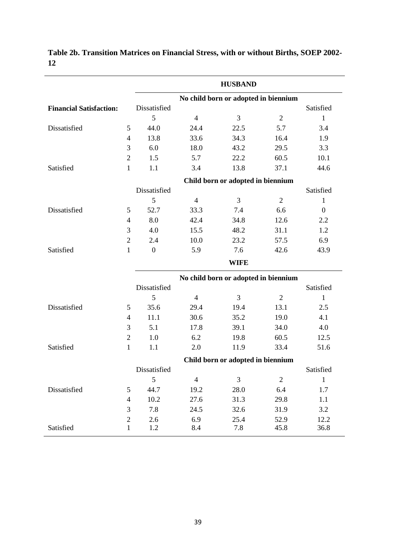|                                |                |                  |                | <b>HUSBAND</b>                       |                |                |
|--------------------------------|----------------|------------------|----------------|--------------------------------------|----------------|----------------|
|                                |                |                  |                | No child born or adopted in biennium |                |                |
| <b>Financial Satisfaction:</b> |                | Dissatisfied     |                |                                      |                | Satisfied      |
|                                |                | 5                | $\overline{4}$ | 3                                    | $\overline{2}$ | $\mathbf{1}$   |
| Dissatisfied                   | 5              | 44.0             | 24.4           | 22.5                                 | 5.7            | 3.4            |
|                                | $\overline{4}$ | 13.8             | 33.6           | 34.3                                 | 16.4           | 1.9            |
|                                | 3              | 6.0              | 18.0           | 43.2                                 | 29.5           | 3.3            |
|                                | $\overline{2}$ | 1.5              | 5.7            | 22.2                                 | 60.5           | 10.1           |
| Satisfied                      | $\mathbf{1}$   | 1.1              | 3.4            | 13.8                                 | 37.1           | 44.6           |
|                                |                |                  |                | Child born or adopted in biennium    |                |                |
|                                |                | Dissatisfied     |                |                                      |                | Satisfied      |
|                                |                | 5                | $\overline{4}$ | 3                                    | $\overline{2}$ | $\mathbf{1}$   |
| Dissatisfied                   | 5              | 52.7             | 33.3           | 7.4                                  | 6.6            | $\overline{0}$ |
|                                | $\overline{4}$ | 8.0              | 42.4           | 34.8                                 | 12.6           | 2.2            |
|                                | 3              | 4.0              | 15.5           | 48.2                                 | 31.1           | 1.2            |
|                                | $\overline{2}$ | 2.4              | 10.0           | 23.2                                 | 57.5           | 6.9            |
| Satisfied                      | 1              | $\boldsymbol{0}$ | 5.9            | 7.6                                  | 42.6           | 43.9           |
|                                |                |                  |                | <b>WIFE</b>                          |                |                |
|                                |                |                  |                | No child born or adopted in biennium |                |                |
|                                |                | Dissatisfied     |                |                                      |                | Satisfied      |
|                                |                | 5                | $\overline{4}$ | 3                                    | $\overline{2}$ | $\mathbf{1}$   |
| Dissatisfied                   | 5              | 35.6             | 29.4           | 19.4                                 | 13.1           | 2.5            |
|                                | $\overline{4}$ | 11.1             | 30.6           | 35.2                                 | 19.0           | 4.1            |
|                                | 3              | 5.1              | 17.8           | 39.1                                 | 34.0           | 4.0            |
|                                | $\overline{2}$ | 1.0              | 6.2            | 19.8                                 | 60.5           | 12.5           |
| Satisfied                      | $\mathbf{1}$   | 1.1              | 2.0            | 11.9                                 | 33.4           | 51.6           |
|                                |                |                  |                | Child born or adopted in biennium    |                |                |
|                                |                | Dissatisfied     |                |                                      |                | Satisfied      |
|                                |                | 5                | $\overline{4}$ | 3                                    | $\overline{2}$ | $\mathbf{1}$   |
| Dissatisfied                   | 5              | 44.7             | 19.2           | 28.0                                 | 6.4            | 1.7            |
|                                | $\overline{4}$ | 10.2             | 27.6           | 31.3                                 | 29.8           | 1.1            |
|                                | 3              | 7.8              | 24.5           | 32.6                                 | 31.9           | 3.2            |
|                                | $\overline{2}$ | 2.6              | 6.9            | 25.4                                 | 52.9           | 12.2           |
| Satisfied                      | $\mathbf{1}$   | 1.2              | 8.4            | 7.8                                  | 45.8           | 36.8           |

**Table 2b. Transition Matrices on Financial Stress, with or without Births, SOEP 2002- 12**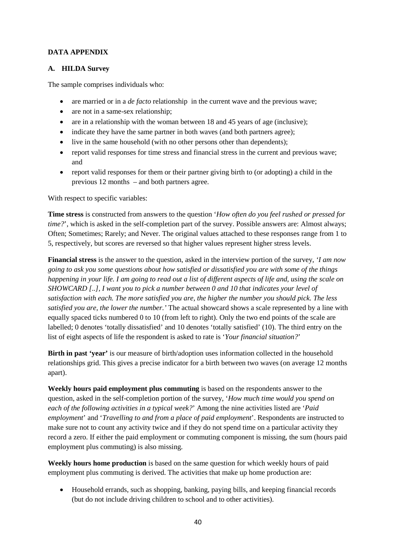#### **DATA APPENDIX**

#### **A. HILDA Survey**

The sample comprises individuals who:

- are married or in a *de facto* relationship in the current wave and the previous wave;
- are not in a same-sex relationship;
- are in a relationship with the woman between 18 and 45 years of age (inclusive):
- indicate they have the same partner in both waves (and both partners agree);
- live in the same household (with no other persons other than dependents):
- report valid responses for time stress and financial stress in the current and previous wave; and
- report valid responses for them or their partner giving birth to (or adopting) a child in the previous 12 months – and both partners agree.

With respect to specific variables:

**Time stress** is constructed from answers to the question '*How often do you feel rushed or pressed for time?*', which is asked in the self-completion part of the survey. Possible answers are: Almost always; Often; Sometimes; Rarely; and Never. The original values attached to these responses range from 1 to 5, respectively, but scores are reversed so that higher values represent higher stress levels.

**Financial stress** is the answer to the question, asked in the interview portion of the survey, *'I am now going to ask you some questions about how satisfied or dissatisfied you are with some of the things happening in your life. I am going to read out a list of different aspects of life and, using the scale on SHOWCARD [..], I want you to pick a number between 0 and 10 that indicates your level of satisfaction with each. The more satisfied you are, the higher the number you should pick. The less satisfied you are, the lower the number.'* The actual showcard shows a scale represented by a line with equally spaced ticks numbered 0 to 10 (from left to right). Only the two end points of the scale are labelled; 0 denotes 'totally dissatisfied' and 10 denotes 'totally satisfied' (10). The third entry on the list of eight aspects of life the respondent is asked to rate is '*Your financial situation?*'

**Birth in past 'year'** is our measure of birth/adoption uses information collected in the household relationships grid. This gives a precise indicator for a birth between two waves (on average 12 months apart).

**Weekly hours paid employment plus commuting** is based on the respondents answer to the question, asked in the self-completion portion of the survey, '*How much time would you spend on each of the following activities in a typical week?*' Among the nine activities listed are '*Paid employment*' and '*Travelling to and from a place of paid employment*'. Respondents are instructed to make sure not to count any activity twice and if they do not spend time on a particular activity they record a zero. If either the paid employment or commuting component is missing, the sum (hours paid employment plus commuting) is also missing.

**Weekly hours home production** is based on the same question for which weekly hours of paid employment plus commuting is derived. The activities that make up home production are:

• Household errands, such as shopping, banking, paying bills, and keeping financial records (but do not include driving children to school and to other activities).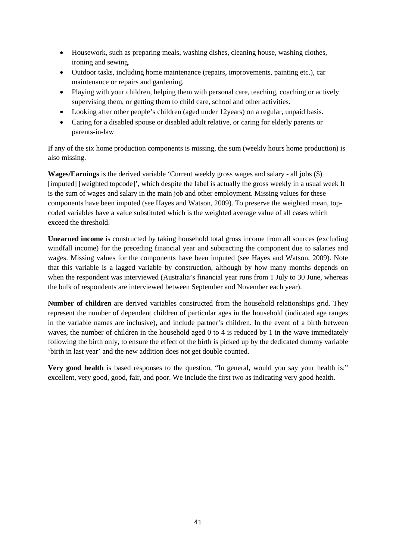- Housework, such as preparing meals, washing dishes, cleaning house, washing clothes, ironing and sewing.
- Outdoor tasks, including home maintenance (repairs, improvements, painting etc.), car maintenance or repairs and gardening.
- Playing with your children, helping them with personal care, teaching, coaching or actively supervising them, or getting them to child care, school and other activities.
- Looking after other people's children (aged under 12years) on a regular, unpaid basis.
- Caring for a disabled spouse or disabled adult relative, or caring for elderly parents or parents-in-law

If any of the six home production components is missing, the sum (weekly hours home production) is also missing.

**Wages/Earnings** is the derived variable 'Current weekly gross wages and salary - all jobs (\$) [imputed] [weighted topcode]', which despite the label is actually the gross weekly in a usual week It is the sum of wages and salary in the main job and other employment. Missing values for these components have been imputed (see Hayes and Watson, 2009). To preserve the weighted mean, topcoded variables have a value substituted which is the weighted average value of all cases which exceed the threshold.

**Unearned income** is constructed by taking household total gross income from all sources (excluding windfall income) for the preceding financial year and subtracting the component due to salaries and wages. Missing values for the components have been imputed (see Hayes and Watson, 2009). Note that this variable is a lagged variable by construction, although by how many months depends on when the respondent was interviewed (Australia's financial year runs from 1 July to 30 June, whereas the bulk of respondents are interviewed between September and November each year).

**Number of children** are derived variables constructed from the household relationships grid. They represent the number of dependent children of particular ages in the household (indicated age ranges in the variable names are inclusive), and include partner's children. In the event of a birth between waves, the number of children in the household aged 0 to 4 is reduced by 1 in the wave immediately following the birth only, to ensure the effect of the birth is picked up by the dedicated dummy variable 'birth in last year' and the new addition does not get double counted.

**Very good health** is based responses to the question, "In general, would you say your health is:" excellent, very good, good, fair, and poor. We include the first two as indicating very good health.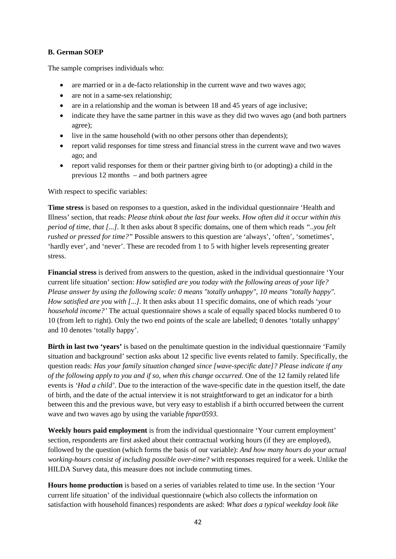#### **B. German SOEP**

The sample comprises individuals who:

- are married or in a de-facto relationship in the current wave and two waves ago;
- are not in a same-sex relationship;
- are in a relationship and the woman is between 18 and 45 years of age inclusive;
- indicate they have the same partner in this wave as they did two waves ago (and both partners agree);
- live in the same household (with no other persons other than dependents);
- report valid responses for time stress and financial stress in the current wave and two waves ago; and
- report valid responses for them or their partner giving birth to (or adopting) a child in the previous 12 months – and both partners agree

With respect to specific variables:

**Time stress** is based on responses to a question, asked in the individual questionnaire 'Health and Illness' section, that reads: *Please think about the last four weeks. How often did it occur within this period of time, that [...]*. It then asks about 8 specific domains, one of them which reads *"..you felt rushed or pressed for time?"* Possible answers to this question are 'always', 'often', 'sometimes', 'hardly ever', and 'never'. These are recoded from 1 to 5 with higher levels representing greater stress.

**Financial stress** is derived from answers to the question, asked in the individual questionnaire 'Your current life situation' section: *How satisfied are you today with the following areas of your life? Please answer by using the following scale: 0 means "totally unhappy", 10 means "totally happy". How satisfied are you with [...].* It then asks about 11 specific domains, one of which reads '*your household income?'* The actual questionnaire shows a scale of equally spaced blocks numbered 0 to 10 (from left to right). Only the two end points of the scale are labelled; 0 denotes 'totally unhappy' and 10 denotes 'totally happy'.

**Birth in last two 'years'** is based on the penultimate question in the individual questionnaire 'Family situation and background' section asks about 12 specific live events related to family. Specifically, the question reads: *Has your family situation changed since [wave-specific date]? Please indicate if any of the following apply to you and if so, when this change occurred*. One of the 12 family related life events is *'Had a child'*. Due to the interaction of the wave-specific date in the question itself, the date of birth, and the date of the actual interview it is not straightforward to get an indicator for a birth between this and the previous wave, but very easy to establish if a birth occurred between the current wave and two waves ago by using the variable *fnpar0593.*

**Weekly hours paid employment** is from the individual questionnaire 'Your current employment' section, respondents are first asked about their contractual working hours (if they are employed), followed by the question (which forms the basis of our variable): *And how many hours do your actual working-hours consist of including possible over-time?* with responses required for a week. Unlike the HILDA Survey data, this measure does not include commuting times.

**Hours home production** is based on a series of variables related to time use. In the section 'Your current life situation' of the individual questionnaire (which also collects the information on satisfaction with household finances) respondents are asked: *What does a typical weekday look like*